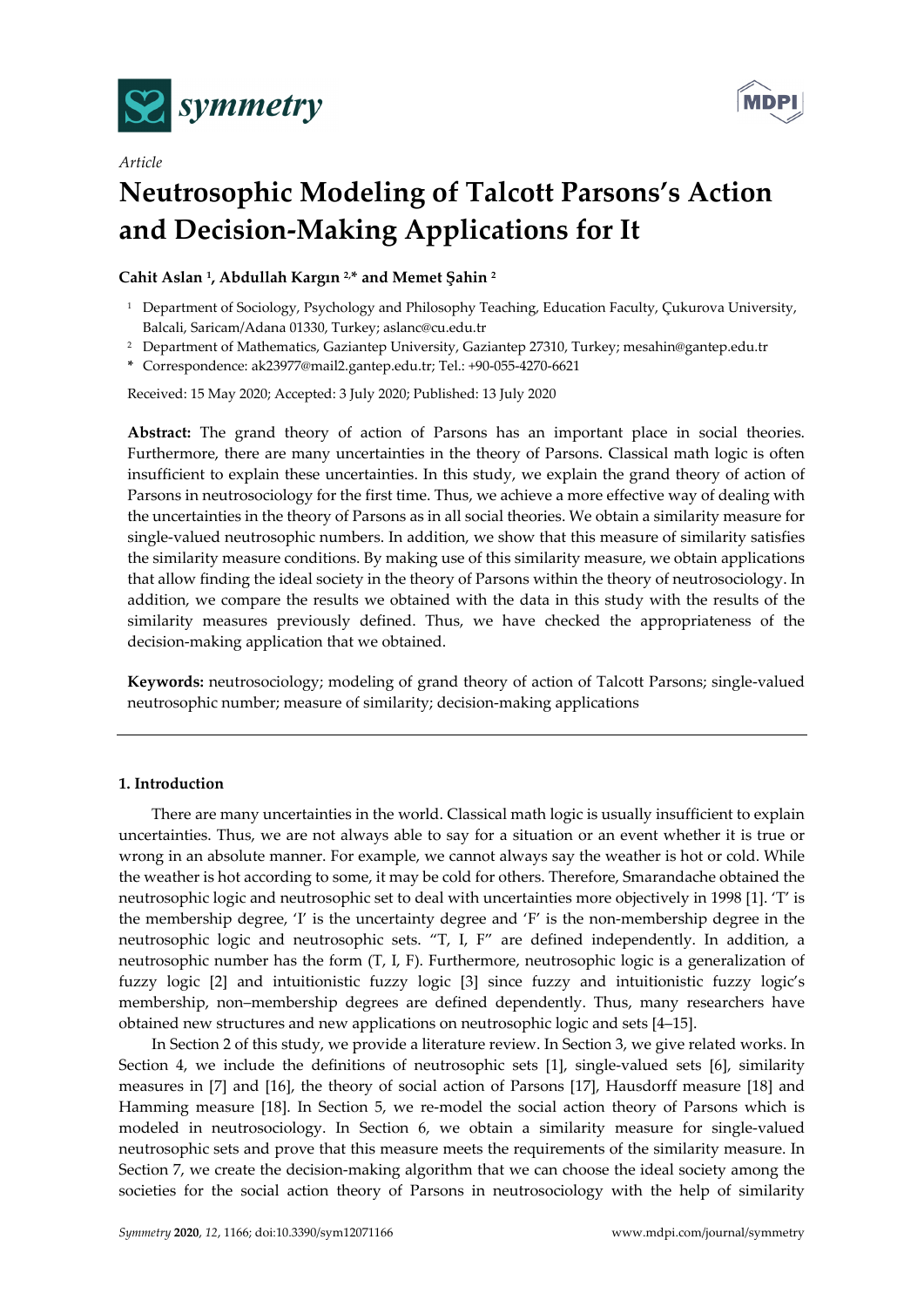



# *Article*  **Neutrosophic Modeling of Talcott Parsons's Action and Decision-Making Applications for It**

# **Cahit Aslan 1, Abdullah Kargın 2,\* and Memet Şahin 2**

- 1 Department of Sociology, Psychology and Philosophy Teaching, Education Faculty, Çukurova University, Balcali, Saricam/Adana 01330, Turkey; aslanc@cu.edu.tr
- 2 Department of Mathematics, Gaziantep University, Gaziantep 27310, Turkey; mesahin@gantep.edu.tr

**\*** Correspondence: ak23977@mail2.gantep.edu.tr; Tel.: +90-055-4270-6621

Received: 15 May 2020; Accepted: 3 July 2020; Published: 13 July 2020

**Abstract:** The grand theory of action of Parsons has an important place in social theories. Furthermore, there are many uncertainties in the theory of Parsons. Classical math logic is often insufficient to explain these uncertainties. In this study, we explain the grand theory of action of Parsons in neutrosociology for the first time. Thus, we achieve a more effective way of dealing with the uncertainties in the theory of Parsons as in all social theories. We obtain a similarity measure for single-valued neutrosophic numbers. In addition, we show that this measure of similarity satisfies the similarity measure conditions. By making use of this similarity measure, we obtain applications that allow finding the ideal society in the theory of Parsons within the theory of neutrosociology. In addition, we compare the results we obtained with the data in this study with the results of the similarity measures previously defined. Thus, we have checked the appropriateness of the decision-making application that we obtained.

**Keywords:** neutrosociology; modeling of grand theory of action of Talcott Parsons; single-valued neutrosophic number; measure of similarity; decision-making applications

## **1. Introduction**

There are many uncertainties in the world. Classical math logic is usually insufficient to explain uncertainties. Thus, we are not always able to say for a situation or an event whether it is true or wrong in an absolute manner. For example, we cannot always say the weather is hot or cold. While the weather is hot according to some, it may be cold for others. Therefore, Smarandache obtained the neutrosophic logic and neutrosophic set to deal with uncertainties more objectively in 1998 [1]. 'T' is the membership degree, 'I' is the uncertainty degree and 'F' is the non-membership degree in the neutrosophic logic and neutrosophic sets. "T, I, F" are defined independently. In addition, a neutrosophic number has the form (T, I, F). Furthermore, neutrosophic logic is a generalization of fuzzy logic [2] and intuitionistic fuzzy logic [3] since fuzzy and intuitionistic fuzzy logic's membership, non–membership degrees are defined dependently. Thus, many researchers have obtained new structures and new applications on neutrosophic logic and sets [4–15].

In Section 2 of this study, we provide a literature review. In Section 3, we give related works. In Section 4, we include the definitions of neutrosophic sets [1], single-valued sets [6], similarity measures in [7] and [16], the theory of social action of Parsons [17], Hausdorff measure [18] and Hamming measure [18]. In Section 5, we re-model the social action theory of Parsons which is modeled in neutrosociology. In Section 6, we obtain a similarity measure for single-valued neutrosophic sets and prove that this measure meets the requirements of the similarity measure. In Section 7, we create the decision-making algorithm that we can choose the ideal society among the societies for the social action theory of Parsons in neutrosociology with the help of similarity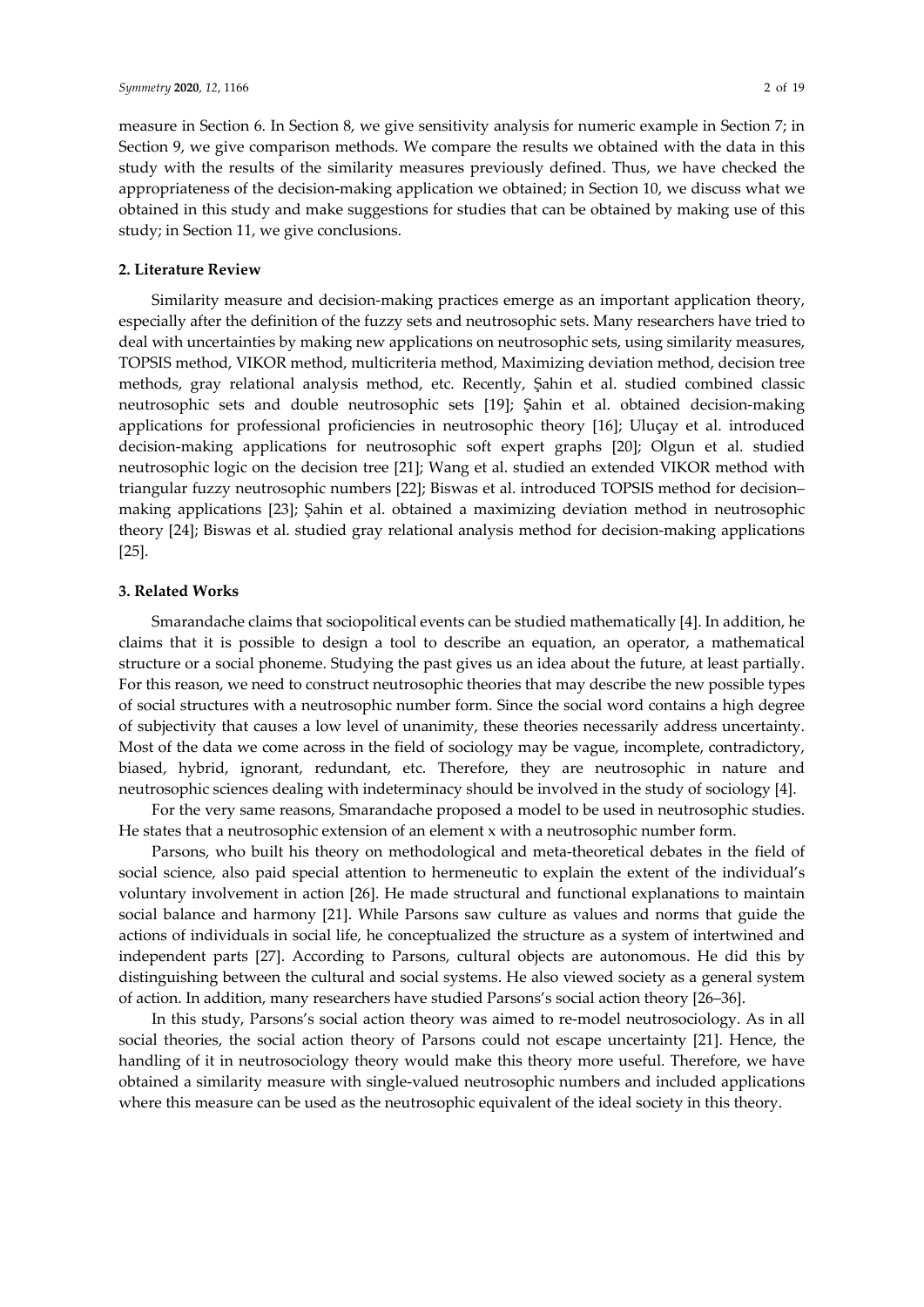measure in Section 6. In Section 8, we give sensitivity analysis for numeric example in Section 7; in Section 9, we give comparison methods. We compare the results we obtained with the data in this study with the results of the similarity measures previously defined. Thus, we have checked the appropriateness of the decision-making application we obtained; in Section 10, we discuss what we obtained in this study and make suggestions for studies that can be obtained by making use of this study; in Section 11, we give conclusions.

#### **2. Literature Review**

Similarity measure and decision-making practices emerge as an important application theory, especially after the definition of the fuzzy sets and neutrosophic sets. Many researchers have tried to deal with uncertainties by making new applications on neutrosophic sets, using similarity measures, TOPSIS method, VIKOR method, multicriteria method, Maximizing deviation method, decision tree methods, gray relational analysis method, etc. Recently, Şahin et al. studied combined classic neutrosophic sets and double neutrosophic sets [19]; Şahin et al. obtained decision-making applications for professional proficiencies in neutrosophic theory [16]; Uluçay et al. introduced decision-making applications for neutrosophic soft expert graphs [20]; Olgun et al. studied neutrosophic logic on the decision tree [21]; Wang et al. studied an extended VIKOR method with triangular fuzzy neutrosophic numbers [22]; Biswas et al. introduced TOPSIS method for decision– making applications [23]; Şahin et al. obtained a maximizing deviation method in neutrosophic theory [24]; Biswas et al. studied gray relational analysis method for decision-making applications [25].

#### **3. Related Works**

Smarandache claims that sociopolitical events can be studied mathematically [4]. In addition, he claims that it is possible to design a tool to describe an equation, an operator, a mathematical structure or a social phoneme. Studying the past gives us an idea about the future, at least partially. For this reason, we need to construct neutrosophic theories that may describe the new possible types of social structures with a neutrosophic number form. Since the social word contains a high degree of subjectivity that causes a low level of unanimity, these theories necessarily address uncertainty. Most of the data we come across in the field of sociology may be vague, incomplete, contradictory, biased, hybrid, ignorant, redundant, etc. Therefore, they are neutrosophic in nature and neutrosophic sciences dealing with indeterminacy should be involved in the study of sociology [4].

For the very same reasons, Smarandache proposed a model to be used in neutrosophic studies. He states that a neutrosophic extension of an element x with a neutrosophic number form.

Parsons, who built his theory on methodological and meta-theoretical debates in the field of social science, also paid special attention to hermeneutic to explain the extent of the individual's voluntary involvement in action [26]. He made structural and functional explanations to maintain social balance and harmony [21]. While Parsons saw culture as values and norms that guide the actions of individuals in social life, he conceptualized the structure as a system of intertwined and independent parts [27]. According to Parsons, cultural objects are autonomous. He did this by distinguishing between the cultural and social systems. He also viewed society as a general system of action. In addition, many researchers have studied Parsons's social action theory [26–36].

In this study, Parsons's social action theory was aimed to re-model neutrosociology. As in all social theories, the social action theory of Parsons could not escape uncertainty [21]. Hence, the handling of it in neutrosociology theory would make this theory more useful. Therefore, we have obtained a similarity measure with single-valued neutrosophic numbers and included applications where this measure can be used as the neutrosophic equivalent of the ideal society in this theory.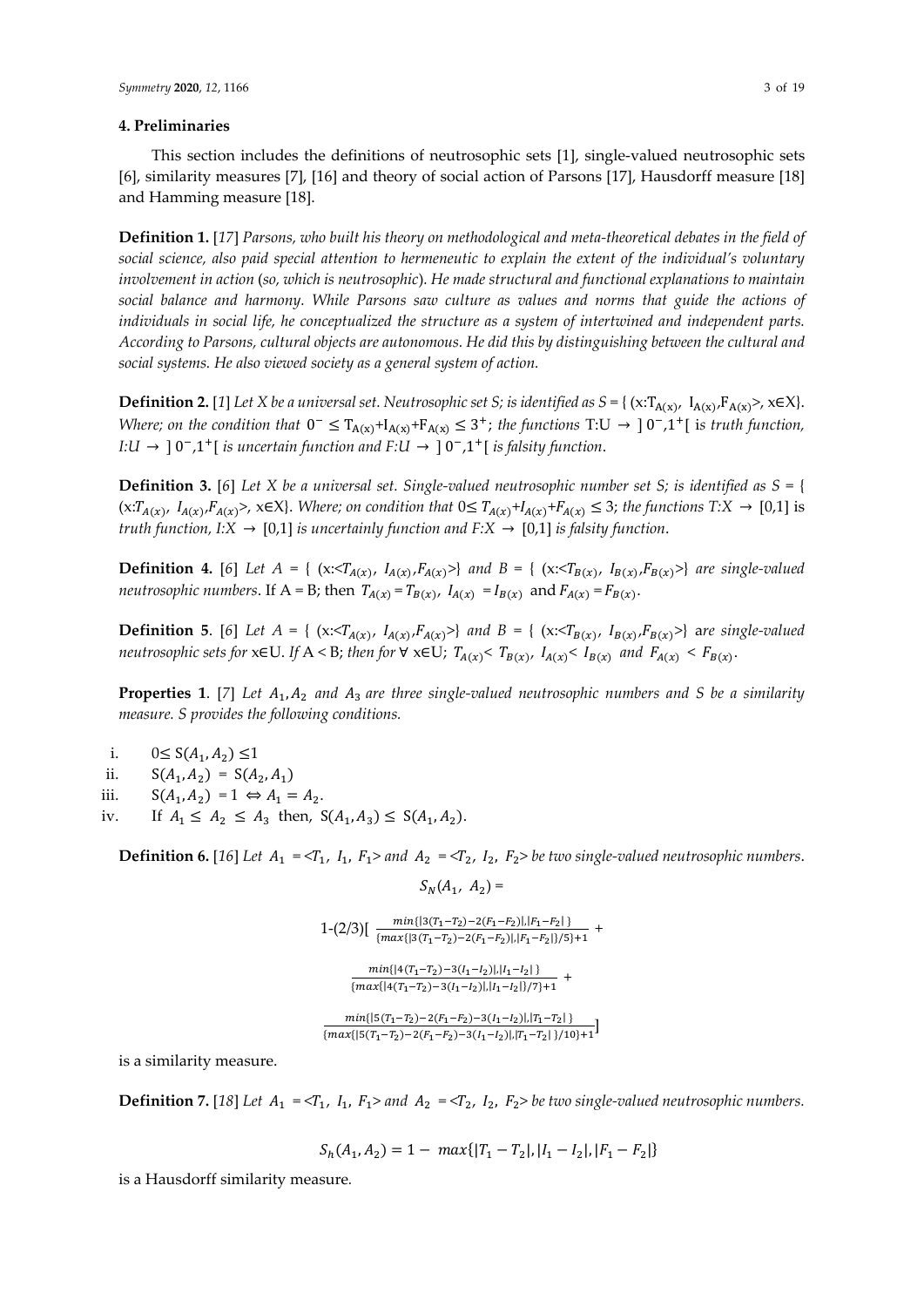## **4. Preliminaries**

This section includes the definitions of neutrosophic sets [1], single-valued neutrosophic sets [6], similarity measures [7], [16] and theory of social action of Parsons [17], Hausdorff measure [18] and Hamming measure [18].

**Definition 1.** [*17*] *Parsons, who built his theory on methodological and meta-theoretical debates in the field of social science, also paid special attention to hermeneutic to explain the extent of the individual's voluntary involvement in action* (*so, which is neutrosophic*)*. He made structural and functional explanations to maintain social balance and harmony. While Parsons saw culture as values and norms that guide the actions of individuals in social life, he conceptualized the structure as a system of intertwined and independent parts. According to Parsons, cultural objects are autonomous. He did this by distinguishing between the cultural and social systems. He also viewed society as a general system of action.*

**Definition 2.** [1] Let X be a universal set. Neutrosophic set S; is identified as  $S = \{ (x:T_{A(x)}, I_{A(x)}, F_{A(x)}, K\in\mathbb{R})\}$ . *Where; on the condition that*  $0^- \leq T_{A(x)} + I_{A(x)} + F_{A(x)} \leq 3^+$ ; *the functions* T:U  $\rightarrow$  ]  $0^-$ , 1<sup>+</sup>[ is *truth function*, *I:U*  $\rightarrow$   $]$   $0^-$ , $1^+$ [ *is uncertain function and F:U*  $\rightarrow$   $]$   $0^-$ , $1^+$ [ *is falsity function.* 

**Definition 3.** [6] Let X be a universal set. Single-valued neutrosophic number set S; is identified as  $S = \{$  $(x:T_{A(x)}, I_{A(x)}, F_{A(x)}$ ,  $x \in X$ . *Where; on condition that*  $0 \leq T_{A(x)} + I_{A(x)} + F_{A(x)} \leq 3$ ; *the functions*  $T:X \to [0,1]$  is *truth function, I:X* → [0,1] *is uncertainly function and F:X* → [0,1] *is falsity function*.

**Definition 4.** [6] Let  $A = \{ (x: \langle T_{A(y)}, I_{A(y)}, F_{A(x)} \rangle) \}$  and  $B = \{ (x: \langle T_{B(y)}, I_{B(y)}, F_{B(y)} \rangle) \}$  are single-valued *neutrosophic numbers*. If A = B; then  $T_{A(x)} = T_{B(x)}$ ,  $I_{A(x)} = I_{B(x)}$  and  $F_{A(x)} = F_{B(x)}$ .

**Definition 5.** [6] Let  $A = \{ (x : \langle T_{A(x)}, T_{A(x)}, F_{A(x)} \rangle) \}$  *and*  $B = \{ (x : \langle T_{B(x)}, T_{B(x)}, F_{B(x)} \rangle) \}$  are single-valued *neutrosophic sets for*  $x \in U$ . If  $A < B$ ; *then for*  $\forall$   $x \in U$ ;  $T_{A(x)} < T_{B(x)}$ ,  $I_{A(x)} < I_{B(x)}$  and  $F_{A(x)} < F_{B(x)}$ .

**Properties 1.** [7] Let  $A_1, A_2$  and  $A_3$  are three single-valued neutrosophic numbers and S be a similarity *measure. S provides the following conditions.* 

i.  $0 \le S(A_1, A_2) \le 1$ 

ii.  $S(A_1, A_2) = S(A_2, A_1)$ 

iii.  $S(A_1, A_2) = 1 \Leftrightarrow A_1 = A_2$ .

iv. If  $A_1 \leq A_2 \leq A_3$  then,  $S(A_1, A_3) \leq S(A_1, A_2)$ .

**Definition 6.** [16] Let  $A_1 = \langle T_1, I_1, F_1 \rangle$  and  $A_2 = \langle T_2, I_2, F_2 \rangle$  be two single-valued neutrosophic numbers.

 $S_N(A_1, A_2) =$ 

$$
\begin{aligned}1-\left(2/3\right) & \big[\begin{array}{c} \frac{min\{|\mathbf{3}(T_1-T_2)-2(F_1-F_2)|,|F_1-F_2|\}}{\{max\{|\mathbf{3}(T_1-T_2)-2(F_1-F_2)|,|F_1-F_2|\}/5\}+1}+\\ \frac{min\{|\mathbf{4}(T_1-T_2)-\mathbf{3}(I_1-I_2)|,|I_1-I_2|\}}{\{max\{|\mathbf{4}(T_1-T_2)-\mathbf{3}(I_1-I_2)|,|I_1-I_2|\}/7\}+1}\end{array}+\\\frac{min\{|\mathbf{5}(T_1-T_2)-2(F_1-F_2)-\mathbf{3}(I_1-I_2)|,|T_1-T_2|\}}{\{max\{|\mathbf{5}(T_1-T_2)-2(F_1-F_2)-\mathbf{3}(I_1-I_2)|,|T_1-T_2|\}\}\end{aligned}\end{aligned}
$$

is a similarity measure.

**Definition 7.** [18] Let  $A_1 = \langle T_1, I_1, F_1 \rangle$  and  $A_2 = \langle T_2, I_2, F_2 \rangle$  be two single-valued neutrosophic numbers.

$$
S_h(A_1, A_2) = 1 - \max\{|T_1 - T_2|, |I_1 - I_2|, |F_1 - F_2|\}
$$

is a Hausdorff similarity measure*.*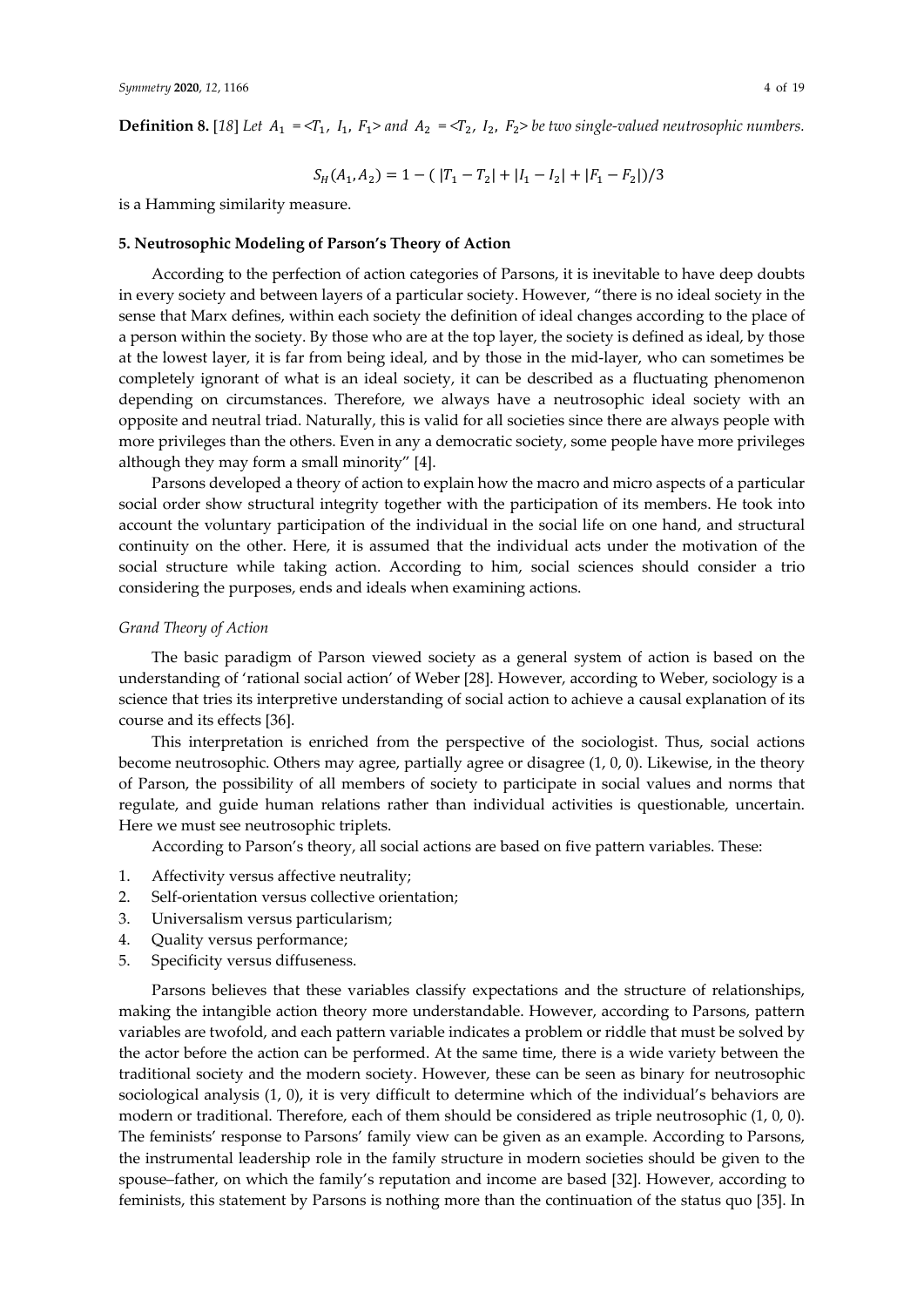**Definition 8.** [18] Let  $A_1 = \langle T_1, I_1, F_1 \rangle$  and  $A_2 = \langle T_2, I_2, F_2 \rangle$  be two single-valued neutrosophic numbers.

$$
S_H(A_1, A_2) = 1 - (|T_1 - T_2| + |I_1 - I_2| + |F_1 - F_2|)/3
$$

is a Hamming similarity measure.

#### **5. Neutrosophic Modeling of Parson's Theory of Action**

According to the perfection of action categories of Parsons, it is inevitable to have deep doubts in every society and between layers of a particular society. However, "there is no ideal society in the sense that Marx defines, within each society the definition of ideal changes according to the place of a person within the society. By those who are at the top layer, the society is defined as ideal, by those at the lowest layer, it is far from being ideal, and by those in the mid-layer, who can sometimes be completely ignorant of what is an ideal society, it can be described as a fluctuating phenomenon depending on circumstances. Therefore, we always have a neutrosophic ideal society with an opposite and neutral triad. Naturally, this is valid for all societies since there are always people with more privileges than the others. Even in any a democratic society, some people have more privileges although they may form a small minority" [4].

Parsons developed a theory of action to explain how the macro and micro aspects of a particular social order show structural integrity together with the participation of its members. He took into account the voluntary participation of the individual in the social life on one hand, and structural continuity on the other. Here, it is assumed that the individual acts under the motivation of the social structure while taking action. According to him, social sciences should consider a trio considering the purposes, ends and ideals when examining actions.

## *Grand Theory of Action*

The basic paradigm of Parson viewed society as a general system of action is based on the understanding of 'rational social action' of Weber [28]. However, according to Weber, sociology is a science that tries its interpretive understanding of social action to achieve a causal explanation of its course and its effects [36].

This interpretation is enriched from the perspective of the sociologist. Thus, social actions become neutrosophic. Others may agree, partially agree or disagree (1, 0, 0). Likewise, in the theory of Parson, the possibility of all members of society to participate in social values and norms that regulate, and guide human relations rather than individual activities is questionable, uncertain. Here we must see neutrosophic triplets.

According to Parson's theory, all social actions are based on five pattern variables. These:

- 1. Affectivity versus affective neutrality;
- 2. Self-orientation versus collective orientation;
- 3. Universalism versus particularism;
- 4. Quality versus performance;
- 5. Specificity versus diffuseness.

Parsons believes that these variables classify expectations and the structure of relationships, making the intangible action theory more understandable. However, according to Parsons, pattern variables are twofold, and each pattern variable indicates a problem or riddle that must be solved by the actor before the action can be performed. At the same time, there is a wide variety between the traditional society and the modern society. However, these can be seen as binary for neutrosophic sociological analysis (1, 0), it is very difficult to determine which of the individual's behaviors are modern or traditional. Therefore, each of them should be considered as triple neutrosophic (1, 0, 0). The feminists' response to Parsons' family view can be given as an example. According to Parsons, the instrumental leadership role in the family structure in modern societies should be given to the spouse–father, on which the family's reputation and income are based [32]. However, according to feminists, this statement by Parsons is nothing more than the continuation of the status quo [35]. In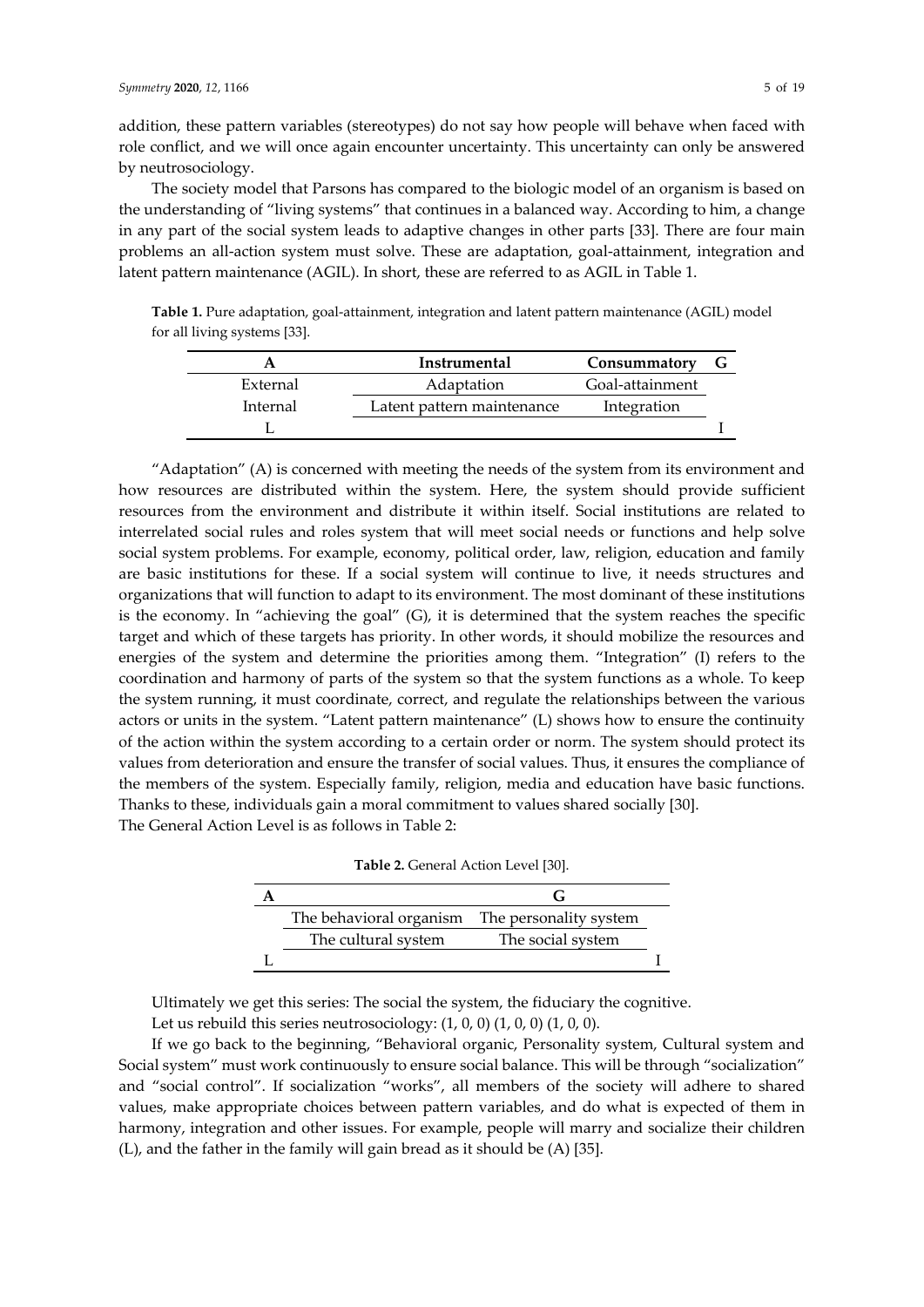addition, these pattern variables (stereotypes) do not say how people will behave when faced with role conflict, and we will once again encounter uncertainty. This uncertainty can only be answered by neutrosociology.

The society model that Parsons has compared to the biologic model of an organism is based on the understanding of "living systems" that continues in a balanced way. According to him, a change in any part of the social system leads to adaptive changes in other parts [33]. There are four main problems an all-action system must solve. These are adaptation, goal-attainment, integration and latent pattern maintenance (AGIL). In short, these are referred to as AGIL in Table 1.

**Table 1.** Pure adaptation, goal-attainment, integration and latent pattern maintenance (AGIL) model for all living systems [33].

|          | Instrumental               | Consummatory    |  |
|----------|----------------------------|-----------------|--|
| External | Adaptation                 | Goal-attainment |  |
| Internal | Latent pattern maintenance | Integration     |  |
|          |                            |                 |  |

"Adaptation" (A) is concerned with meeting the needs of the system from its environment and how resources are distributed within the system. Here, the system should provide sufficient resources from the environment and distribute it within itself. Social institutions are related to interrelated social rules and roles system that will meet social needs or functions and help solve social system problems. For example, economy, political order, law, religion, education and family are basic institutions for these. If a social system will continue to live, it needs structures and organizations that will function to adapt to its environment. The most dominant of these institutions is the economy. In "achieving the goal" (G), it is determined that the system reaches the specific target and which of these targets has priority. In other words, it should mobilize the resources and energies of the system and determine the priorities among them. "Integration" (I) refers to the coordination and harmony of parts of the system so that the system functions as a whole. To keep the system running, it must coordinate, correct, and regulate the relationships between the various actors or units in the system. "Latent pattern maintenance" (L) shows how to ensure the continuity of the action within the system according to a certain order or norm. The system should protect its values from deterioration and ensure the transfer of social values. Thus, it ensures the compliance of the members of the system. Especially family, religion, media and education have basic functions. Thanks to these, individuals gain a moral commitment to values shared socially [30]. The General Action Level is as follows in Table 2:

| <b>Table 2.</b> General Action Level [30].     |                   |  |
|------------------------------------------------|-------------------|--|
|                                                |                   |  |
| The behavioral organism The personality system |                   |  |
| The cultural system                            | The social system |  |
|                                                |                   |  |

**Table 2.** General Action Level [30].

Ultimately we get this series: The social the system, the fiduciary the cognitive. Let us rebuild this series neutrosociology: (1, 0, 0) (1, 0, 0) (1, 0, 0).

If we go back to the beginning, "Behavioral organic, Personality system, Cultural system and Social system" must work continuously to ensure social balance. This will be through "socialization" and "social control". If socialization "works", all members of the society will adhere to shared values, make appropriate choices between pattern variables, and do what is expected of them in harmony, integration and other issues. For example, people will marry and socialize their children (L), and the father in the family will gain bread as it should be (A) [35].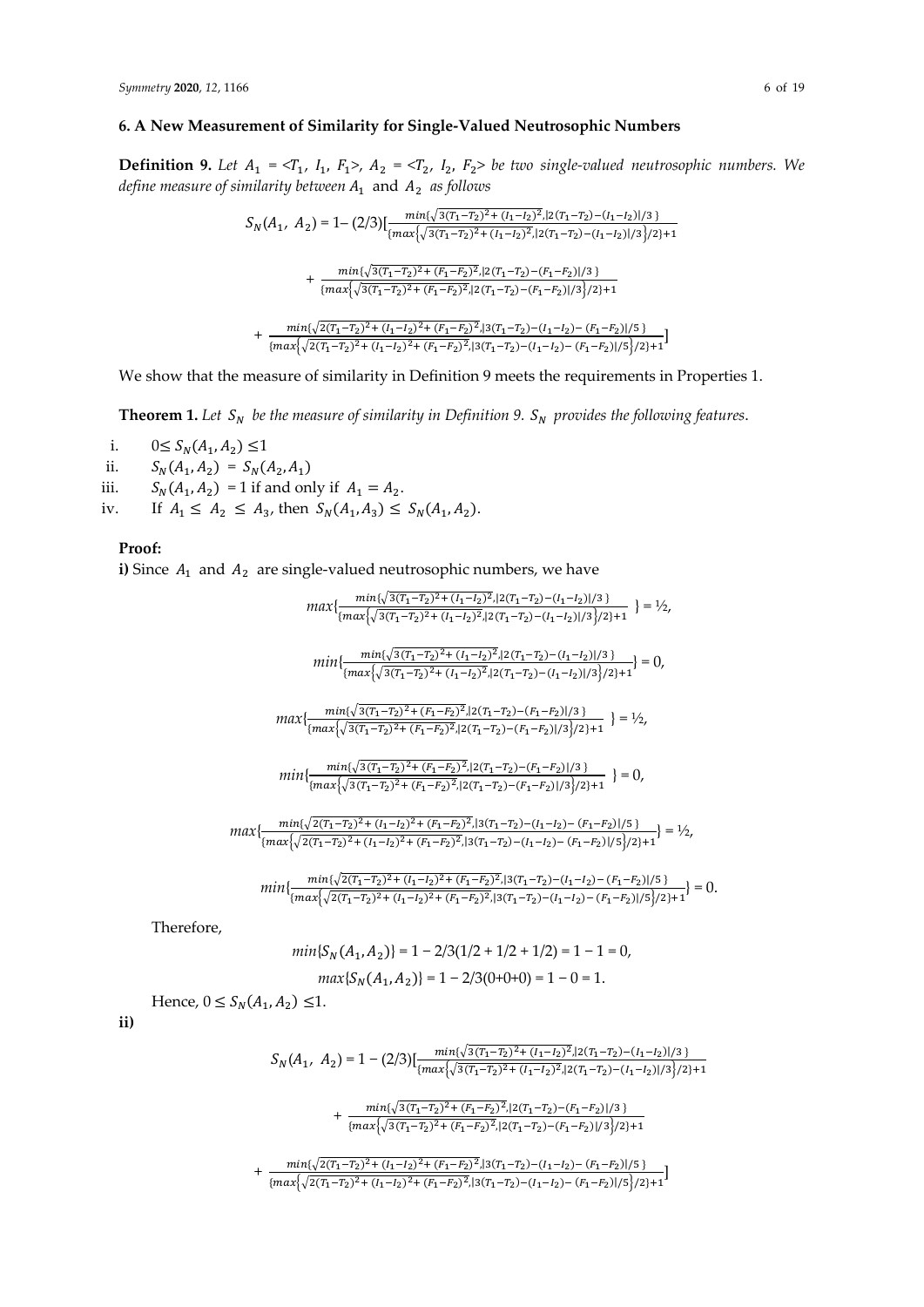## **6. A New Measurement of Similarity for Single-Valued Neutrosophic Numbers**

**Definition 9.** Let  $A_1 = \langle T_1, I_1, F_1 \rangle$ ,  $A_2 = \langle T_2, I_2, F_2 \rangle$  be two single-valued neutrosophic numbers. We *define measure of similarity between*  $A_1$  and  $A_2$  *as follows* 

$$
S_N(A_1, A_2) = 1 - (2/3) [\frac{\min\{\sqrt{3(T_1 - T_2)^2 + (I_1 - I_2)^2}, |2(T_1 - T_2) - (I_1 - I_2)|/3\}}{\{\max\{\sqrt{3(T_1 - T_2)^2 + (I_1 - I_2)^2}, |2(T_1 - T_2) - (I_1 - I_2)|/3\}/2\} + 1} + \frac{\min\{\sqrt{3(T_1 - T_2)^2 + (F_1 - F_2)^2}, |2(T_1 - T_2) - (F_1 - F_2)|/3\}}{\{\max\{\sqrt{3(T_1 - T_2)^2 + (F_1 - F_2)^2}, |2(T_1 - T_2) - (F_1 - F_2)|/3\}/2\} + 1} + \frac{\min\{\sqrt{2(T_1 - T_2)^2 + (I_1 - I_2)^2 + (F_1 - F_2)^2}, |3(T_1 - T_2) - (I_1 - I_2) - (F_1 - F_2)|/5\}} + \frac{\min\{\sqrt{2(T_1 - T_2)^2 + (I_1 - I_2)^2 + (F_1 - F_2)^2}, |3(T_1 - T_2) - (I_1 - I_2) - (F_1 - F_2)|/5\}}{1 - 1}
$$

+  $\frac{\max\{2(T_1-T_2)+(T_1-T_2)+(T_1-T_2)+(T_1-T_2)+(T_1-T_2)+(T_1-T_2)+(T_1-T_2)/(T_1-T_2)\}}{\{\max\{2(T_1-T_2)^2+(T_1-T_2)^2+(F_1-F_2)^2,|3(T_1-T_2)-(T_1-T_2)-(F_1-F_2)|/5\}/2\}+1}$ 

We show that the measure of similarity in Definition 9 meets the requirements in Properties 1.

**Theorem 1.** Let  $S_N$  be the measure of similarity in Definition 9.  $S_N$  provides the following features.

i.  $0 \le S_N(A_1, A_2) \le 1$ 

ii.  $S_N(A_1, A_2) = S_N(A_2, A_1)$ 

iii.  $S_N(A_1, A_2) = 1$  if and only if  $A_1 = A_2$ .

iv. If  $A_1 \leq A_2 \leq A_3$ , then  $S_N(A_1, A_3) \leq S_N(A_1, A_2)$ .

## **Proof:**

**i)** Since  $A_1$  and  $A_2$  are single-valued neutrosophic numbers, we have

 $max\{\frac{min\{\sqrt{3(T_1-T_2)^2+(I_1-I_2)^2},|2(T_1-T_2)-(I_1-I_2)|/3\}}{\{max\{\sqrt{3(T_1-T_2)^2+(I_1-I_2)^2},|2(T_1-T_2)-(I_1-I_2)|/3\}/2\}+1}\ \}=\textcolor{black}{^1/2},$ 

$$
min\{\frac{min\{\sqrt{3(T_1-T_2)^2+(I_1-I_2)^2},|2(T_1-T_2)-(I_1-I_2)|/3\}}{\{max\{\sqrt{3(T_1-T_2)^2+(I_1-I_2)^2},|2(T_1-T_2)-(I_1-I_2)|/3\}/2\}+1}\}=0,
$$

$$
max\{\frac{min\{\sqrt{3(T_1-T_2)^2+(F_1-F_2)^2},|2(T_1-T_2)-(F_1-F_2)|/3\}}{\{max\{\sqrt{3(T_1-T_2)^2+(F_1-F_2)^2},|2(T_1-T_2)-(F_1-F_2)|/3\}/2\}+1} \ \}=\textcolor{black}{^1\textcolor{black}{/_{\textcolor{blue}{\textbf{2}}}}}
$$

 $min\{\frac{min\{\sqrt{3(T_1-T_2)^2+(F_1-F_2)^2},|2(T_1-T_2)-(F_1-F_2)|/3\}}{(max\{\sqrt{3(T_1-T_2)^2+(F_1-F_2)^2},|2(T_1-T_2)-(F_1-F_2)|/3\}/2\}+1} \}=0,$ 

$$
max\{\frac{min\{\sqrt{2(T_1-T_2)^2+(I_1-I_2)^2+(F_1-F_2)^2},|3(T_1-T_2)-(I_1-I_2)-(F_1-F_2)|/5\}}{\{max\{\sqrt{2(T_1-T_2)^2+(I_1-I_2)^2+(F_1-F_2)^2},|3(T_1-T_2)-(I_1-I_2)-(F_1-F_2)|/5\}/2\}+1}\}=\frac{1}{2},
$$

$$
min\{\frac{min\{\sqrt{2(T_1-T_2)^2+(I_1-I_2)^2+(F_1-F_2)^2},|3(T_1-T_2)-(I_1-I_2)-(F_1-F_2)|/5\}}{\{max\{\sqrt{2(T_1-T_2)^2+(I_1-I_2)^2+(F_1-F_2)^2},|3(T_1-T_2)-(I_1-I_2)-(F_1-F_2)|/5\}/2\}+1}\}=0.
$$

Therefore,

$$
min{S_N(A_1, A_2)} = 1 - 2/3(1/2 + 1/2 + 1/2) = 1 - 1 = 0,
$$
  

$$
max{S_N(A_1, A_2)} = 1 - 2/3(0+0+0) = 1 - 0 = 1.
$$

Hence,  $0 \le S_N(A_1, A_2) \le 1$ .

$$
ii)
$$

$$
S_N(A_1, A_2) = 1 - (2/3) [\frac{\min\{\sqrt{3(T_1 - T_2)^2 + (I_1 - I_2)^2}, |2(T_1 - T_2) - (I_1 - I_2)|/3\}}{\{\max\{\sqrt{3(T_1 - T_2)^2 + (I_1 - I_2)^2}, |2(T_1 - T_2) - (I_1 - I_2)|/3\}/2\} + 1 + \frac{\min\{\sqrt{3(T_1 - T_2)^2 + (F_1 - F_2)^2}, |2(T_1 - T_2) - (F_1 - F_2)|/3\}}{\{\max\{\sqrt{3(T_1 - T_2)^2 + (F_1 - F_2)^2}, |2(T_1 - T_2) - (F_1 - F_2)|/3\}/2\} + 1 + \frac{\min\{\sqrt{2(T_1 - T_2)^2 + (I_1 - I_2)^2 + (F_1 - F_2)^2}, |3(T_1 - T_2) - (I_1 - I_2) - (F_1 - F_2)|/5\}}{\{\max\{\sqrt{2(T_1 - T_2)^2 + (I_1 - I_2)^2 + (F_1 - F_2)^2}, |3(T_1 - T_2) - (I_1 - I_2) - (F_1 - F_2)|/5\}\}}]
$$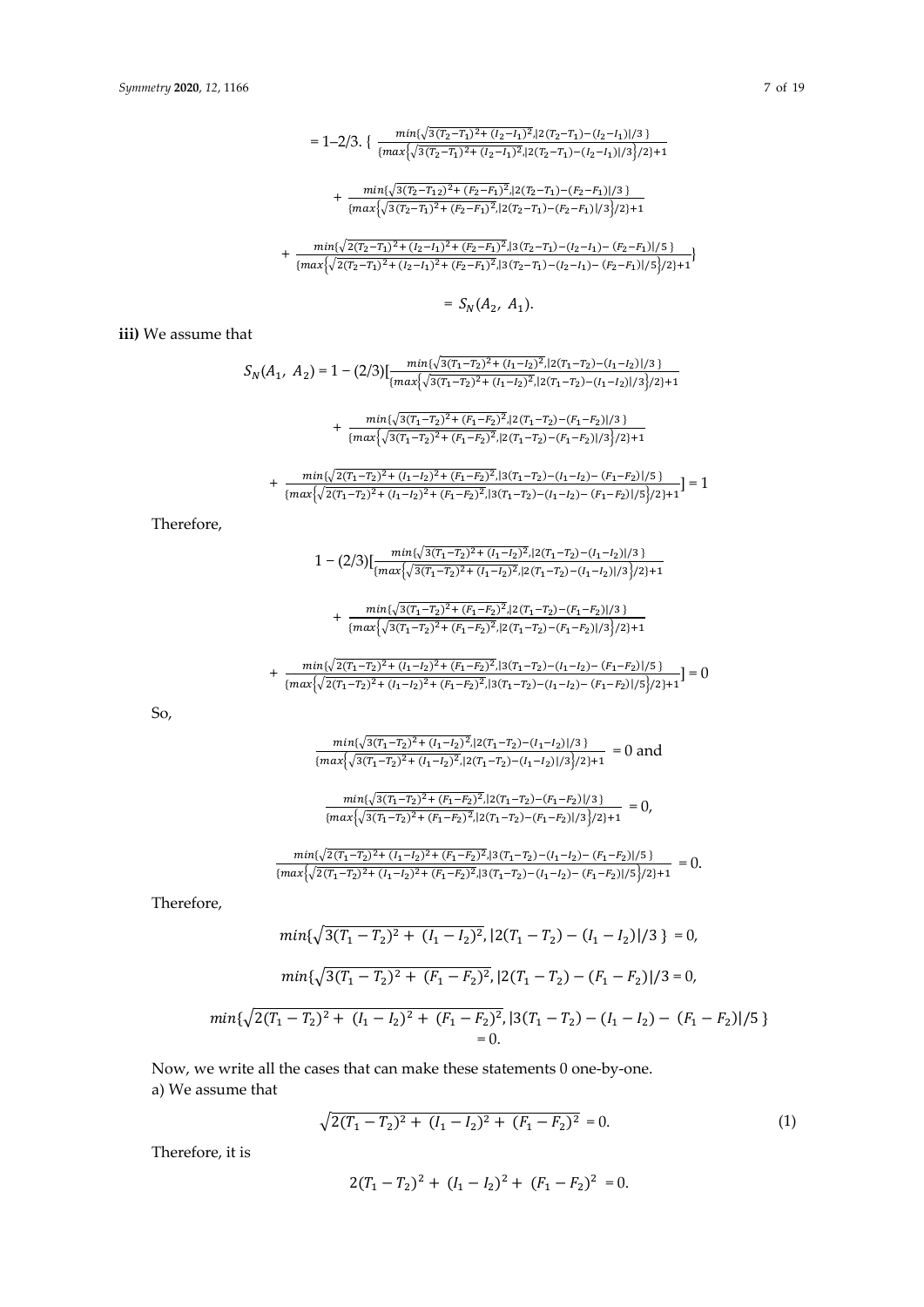$$
=1-2/3.\ \{\ \frac{min\{\sqrt{3(T_2-T_1)^2+(I_2-I_1)^2},|2(T_2-T_1)-(I_2-I_1)|/3\}}{ \{max\{\sqrt{3(T_2-T_1)^2+(I_2-I_1)^2},|2(T_2-T_1)-(I_2-I_1)|/3\}/2\}+1}\}
$$

 $+\frac{\min\{\sqrt{3(T_2-T_{12})^2+(F_2-F_1)^2}\}\{2(T_2-T_1)-(F_2-F_1)\}}{\max\{\sqrt{3(T_2-T_{12})^2+(F_2-F_1)^2}\}\{2(T_2-T_1)-(F_2-F_1)\}}\}$  ${\left\{\max\left\{\sqrt{3(T_2-T_1)^2+(F_2-F_1)^2},|2(T_2-T_1)-(F_2-F_1)|/3\right\}}/2\right\}}+1$ 

 $+ \; \frac{min\{\sqrt{2(T_2-T_1)^2+(I_2-I_1)^2+(F_2-F_1)^2},|3(T_2-T_1)-(I_2-I_1)-(F_2-F_1)|/5\}}{ \{max\{\sqrt{2(T_2-T_1)^2+(I_2-I_1)^2+(F_2-F_1)^2},|3(T_2-T_1)-(I_2-I_1)-(F_2-F_1)|/5\}/2\} + 1} \}$ 

$$
= S_N(A_2, A_1).
$$

**iii)** We assume that

$$
S_N(A_1, A_2) = 1 - (2/3) \left[ \frac{\min\{\sqrt{3(T_1 - T_2)^2 + (I_1 - I_2)^2}, |2(T_1 - T_2) - (I_1 - I_2)|/3\}}{\{\max\{\sqrt{3(T_1 - T_2)^2 + (I_1 - I_2)^2}, |2(T_1 - T_2) - (I_1 - I_2)|/3\}/2\} + 1} \right]
$$
  
+ 
$$
\frac{\min\{\sqrt{3(T_1 - T_2)^2 + (F_1 - F_2)^2}, |2(T_1 - T_2) - (F_1 - F_2)|/3\}}{\min\{\sqrt{3(T_1 - T_2)^2 + (F_1 - F_2)^2}, |2(T_1 - T_2) - (F_1 - F_2)|/3\}}
$$

$$
+\frac{\max\{\sqrt{3(1-2)^2+(1-2^2)}\}\{2(1-2)^2+(1-2^2)\}\{2(1-2^2)\}\}}{\{\max\{\sqrt{3(1-2^2)}+(1-2^2)^2\}\{2(1-2^2)-(1-2^2)\}\}}}
$$

$$
+\frac{\min\{\sqrt{2(T_1-T_2)^2+(I_1-I_2)^2+(F_1-F_2)^2},|3(T_1-T_2)-(I_1-I_2)-(F_1-F_2)|/5\}}{\{\max\{\sqrt{2(T_1-T_2)^2+(I_1-I_2)^2+(F_1-F_2)^2},|3(T_1-T_2)-(I_1-I_2)-(F_1-F_2)|/5\}/2\}+1}]=1
$$

Therefore,

$$
1-(2/3)[\frac{min\{\sqrt{3(T_1-T_2)^2+(I_1-I_2)^2},|2(T_1-T_2)-(I_1-I_2)|/3\}}{ \{max\{\sqrt{3(T_1-T_2)^2+(I_1-I_2)^2},|2(T_1-T_2)-(I_1-I_2)|/3\}/2\}+1}
$$

$$
+\frac{\min\{\sqrt{3(T_1-T_2)^2+(F_1-F_2)^2},|2(T_1-T_2)-(F_1-F_2)|/3\}}{\{\max\{\sqrt{3(T_1-T_2)^2+(F_1-F_2)^2},|2(T_1-T_2)-(F_1-F_2)|/3\}/2\}+1}
$$

$$
+\frac{\min\{\sqrt{2(T_1-T_2)^2+(I_1-I_2)^2+(F_1-F_2)^2},|3(T_1-T_2)-(I_1-I_2)-(F_1-F_2)|/5\}}{\{\max\{\sqrt{2(T_1-T_2)^2+(I_1-I_2)^2+(F_1-F_2)^2},|3(T_1-T_2)-(I_1-I_2)-(F_1-F_2)|/5\}/2\}+1}=0
$$

So,

$$
\frac{\min\{\sqrt{3(T_1-T_2)^2+(I_1-I_2)^2},|2(T_1-T_2)-(I_1-I_2)|/3\}}{\{\max\{\sqrt{3(T_1-T_2)^2+(I_1-I_2)^2},|2(T_1-T_2)-(I_1-I_2)|/3\}/2\}+1} = 0
$$
 and

$$
\frac{\min\{\sqrt{3(T_1-T_2)^2+(F_1-F_2)^2},|2(T_1-T_2)-(F_1-F_2)|/3\}}{\{\max\{\sqrt{3(T_1-T_2)^2+(F_1-F_2)^2},|2(T_1-T_2)-(F_1-F_2)|/3\}/2\}+1} = 0,
$$

$$
\frac{\min\{\sqrt{2(T_1-T_2)^2+(I_1-I_2)^2+(F_1-F_2)^2},|3(T_1-T_2)-(I_1-I_2)-(F_1-F_2)|/5\}}{\{\max\{\sqrt{2(T_1-T_2)^2+(I_1-I_2)^2+(F_1-F_2)^2},|3(T_1-T_2)-(I_1-I_2)-(F_1-F_2)|/5\}/2\}+1}=0.
$$

Therefore,

$$
\min\{\sqrt{3(T_1 - T_2)^2 + (I_1 - I_2)^2}, |2(T_1 - T_2) - (I_1 - I_2)|/3\} = 0,
$$
  

$$
\min\{\sqrt{3(T_1 - T_2)^2 + (F_1 - F_2)^2}, |2(T_1 - T_2) - (F_1 - F_2)|/3 = 0,
$$
  

$$
\min\{\sqrt{2(T_1 - T_2)^2 + (I_1 - I_2)^2 + (F_1 - F_2)^2}, |3(T_1 - T_2) - (I_1 - I_2) - (F_1 - F_2)|/5\}
$$

 $= 0.$ 

Now, we write all the cases that can make these statements 0 one-by-one. a) We assume that

$$
\sqrt{2(T_1 - T_2)^2 + (I_1 - I_2)^2 + (F_1 - F_2)^2} = 0.
$$
\n(1)

Therefore, it is

$$
2(T_1 - T_2)^2 + (I_1 - I_2)^2 + (F_1 - F_2)^2 = 0.
$$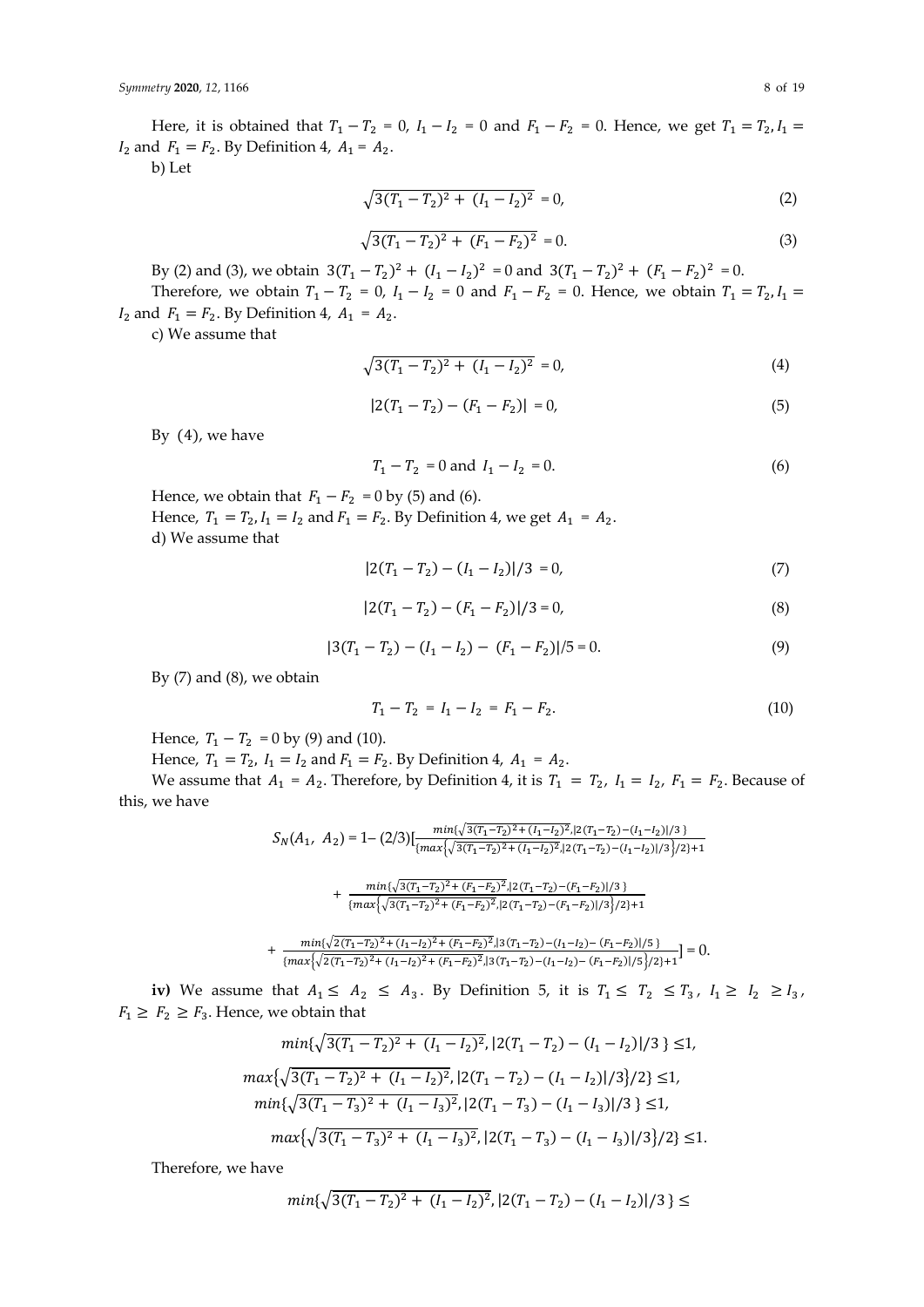Here, it is obtained that  $T_1 - T_2 = 0$ ,  $I_1 - I_2 = 0$  and  $F_1 - F_2 = 0$ . Hence, we get  $T_1 = T_2$ ,  $I_1 =$  $I_2$  and  $F_1 = F_2$ . By Definition 4,  $A_1 = A_2$ .

b) Let

$$
\sqrt{3(T_1 - T_2)^2 + (I_1 - I_2)^2} = 0,
$$
\n(2)

$$
\sqrt{3(T_1 - T_2)^2 + (F_1 - F_2)^2} = 0.
$$
\n(3)

By (2) and (3), we obtain  $3(T_1 - T_2)^2 + (I_1 - I_2)^2 = 0$  and  $3(T_1 - T_2)^2 + (F_1 - F_2)^2 = 0$ . Therefore, we obtain  $T_1 - T_2 = 0$ ,  $I_1 - I_2 = 0$  and  $F_1 - F_2 = 0$ . Hence, we obtain  $T_1 = T_2$ ,  $I_1 =$  $I_2$  and  $F_1 = F_2$ . By Definition 4,  $A_1 = A_2$ .

c) We assume that

$$
\sqrt{3(T_1 - T_2)^2 + (I_1 - I_2)^2} = 0,
$$
\n(4)

$$
|2(T_1 - T_2) - (F_1 - F_2)| = 0,\t(5)
$$

By (4), we have

$$
T_1 - T_2 = 0 \text{ and } I_1 - I_2 = 0. \tag{6}
$$

Hence, we obtain that  $F_1 - F_2 = 0$  by (5) and (6). Hence,  $T_1 = T_2$ ,  $I_1 = I_2$  and  $F_1 = F_2$ . By Definition 4, we get  $A_1 = A_2$ . d) We assume that

$$
|2(T_1 - T_2) - (I_1 - I_2)|/3 = 0,
$$
\n(7)

$$
|2(T_1 - T_2) - (F_1 - F_2)|/3 = 0,
$$
\n(8)

$$
|3(T_1 - T_2) - (I_1 - I_2) - (F_1 - F_2)|/5 = 0.
$$
\n(9)

By (7) and (8), we obtain

$$
T_1 - T_2 = I_1 - I_2 = F_1 - F_2. \tag{10}
$$

Hence,  $T_1 - T_2 = 0$  by (9) and (10).

Hence,  $T_1 = T_2$ ,  $I_1 = I_2$  and  $F_1 = F_2$ . By Definition 4,  $A_1 = A_2$ .

We assume that  $A_1 = A_2$ . Therefore, by Definition 4, it is  $T_1 = T_2$ ,  $I_1 = I_2$ ,  $F_1 = F_2$ . Because of this, we have

$$
S_N(A_1, A_2) = 1 - (2/3) \left[ \frac{\min\{\sqrt{3(T_1 - T_2)^2 + (I_1 - I_2)^2}, |2(T_1 - T_2) - (I_1 - I_2)|/3\}}{\{\max\{\sqrt{3(T_1 - T_2)^2 + (I_1 - I_2)^2}, |2(T_1 - T_2) - (I_1 - I_2)|/3\}/2\} + 1} \right]
$$
  
+ 
$$
\frac{\min\{\sqrt{3(T_1 - T_2)^2 + (F_1 - F_2)^2}, |2(T_1 - T_2) - (F_1 - F_2)|/3\}}{\{\max\{\sqrt{3(T_1 - T_2)^2 + (F_1 - F_2)^2}, |2(T_1 - T_2) - (F_1 - F_2)|/3\}/2\} + 1}
$$
  
+ 
$$
\frac{\min\{\sqrt{2(T_1 - T_2)^2 + (I_1 - I_2)^2 + (F_1 - F_2)^2}, |3(T_1 - T_2) - (I_1 - I_2) - (F_1 - F_2)|/5\}}{\{\max\{\sqrt{2(T_1 - T_2)^2 + (I_1 - I_2)^2 + (F_1 - F_2)^2}, |3(T_1 - T_2) - (I_1 - I_2) - (F_1 - F_2)|/5\}/2\} + 1} = 0.
$$

**iv)** We assume that  $A_1 \leq A_2 \leq A_3$ . By Definition 5, it is  $T_1 \leq T_2 \leq T_3$ ,  $I_1 \geq I_2 \geq I_3$ ,  $F_1 \geq F_2 \geq F_3$ . Hence, we obtain that

$$
\min\{\sqrt{3(T_1 - T_2)^2 + (I_1 - I_2)^2}, |2(T_1 - T_2) - (I_1 - I_2)|/3\} \le 1,
$$
  
\n
$$
\max\{\sqrt{3(T_1 - T_2)^2 + (I_1 - I_2)^2}, |2(T_1 - T_2) - (I_1 - I_2)|/3\}/2\} \le 1,
$$
  
\n
$$
\min\{\sqrt{3(T_1 - T_3)^2 + (I_1 - I_3)^2}, |2(T_1 - T_3) - (I_1 - I_3)|/3\} \le 1,
$$
  
\n
$$
\max\{\sqrt{3(T_1 - T_3)^2 + (I_1 - I_3)^2}, |2(T_1 - T_3) - (I_1 - I_3)|/3\}/2\} \le 1.
$$

Therefore, we have

$$
min{\sqrt{3(T_1-T_2)^2+(I_1-I_2)^2}}, |2(T_1-T_2)-(I_1-I_2)|/3 \le
$$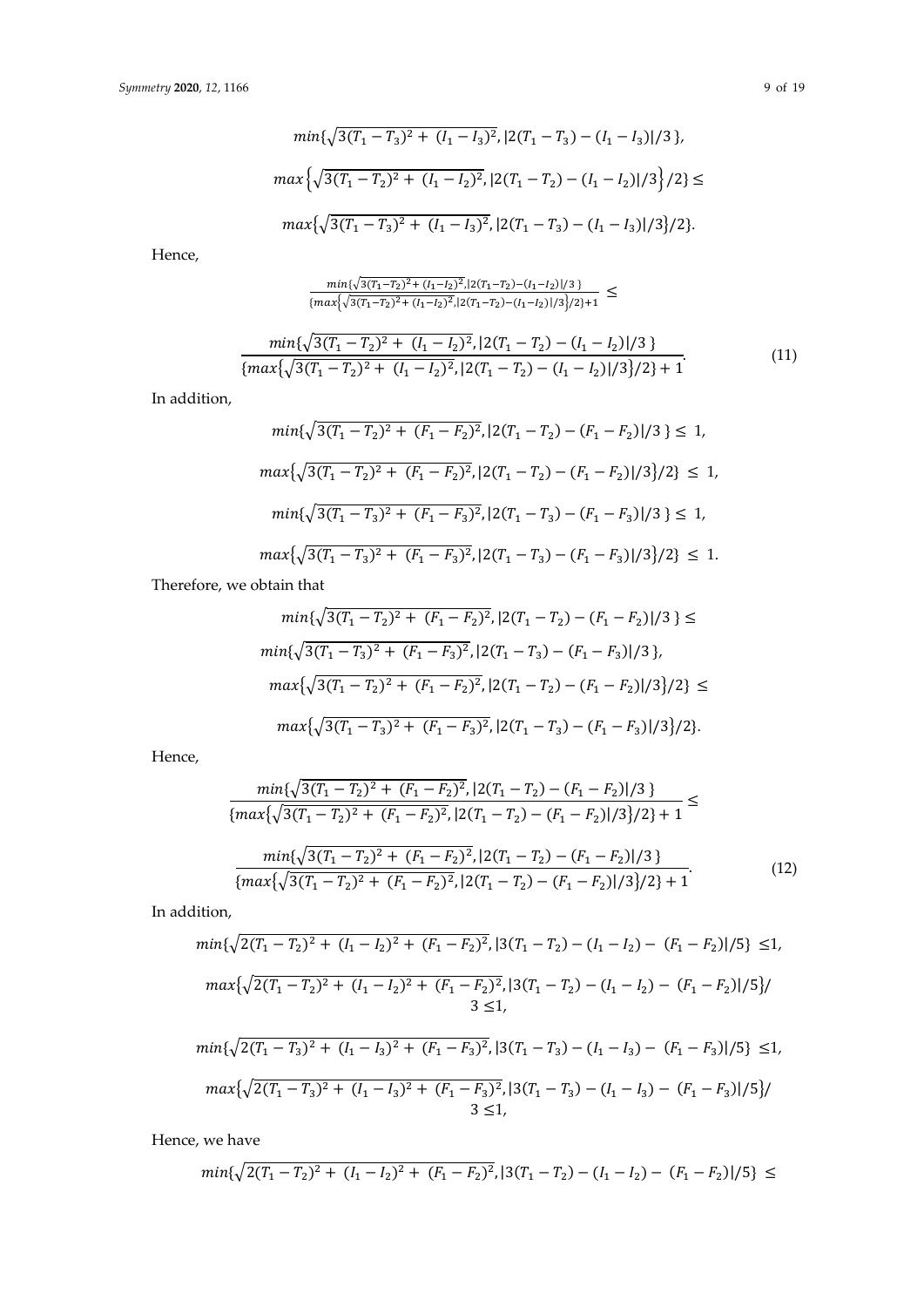$$
min\{\sqrt{3(T_1 - T_3)^2 + (I_1 - I_3)^2}, |2(T_1 - T_3) - (I_1 - I_3)|/3\},\
$$

$$
max\{\sqrt{3(T_1 - T_2)^2 + (I_1 - I_2)^2}, |2(T_1 - T_2) - (I_1 - I_2)|/3\}/2\} \le
$$

$$
max\{\sqrt{3(T_1 - T_3)^2 + (I_1 - I_3)^2}, |2(T_1 - T_3) - (I_1 - I_3)|/3\}/2\}.
$$

Hence,

$$
\frac{\min\{\sqrt{3(T_1-T_2)^2+(I_1-I_2)^2},|2(T_1-T_2)-(I_1-I_2)|/3\}}{\{\max\{\sqrt{3(T_1-T_2)^2+(I_1-I_2)^2},|2(T_1-T_2)-(I_1-I_2)|/3\}/2\}+1} \leq
$$

$$
\frac{\min\{\sqrt{3}(T_1 - T_2)^2 + (I_1 - I_2)^2, |2(T_1 - T_2) - (I_1 - I_2)|/3\}}{\{\max\{\sqrt{3}(T_1 - T_2)^2 + (I_1 - I_2)^2, |2(T_1 - T_2) - (I_1 - I_2)|/3\}/2\} + 1}.
$$
\n(11)

In addition,

$$
\min\{\sqrt{3(T_1 - T_2)^2 + (F_1 - F_2)^2}, |2(T_1 - T_2) - (F_1 - F_2)|/3\} \le 1,
$$
  

$$
\max\{\sqrt{3(T_1 - T_2)^2 + (F_1 - F_2)^2}, |2(T_1 - T_2) - (F_1 - F_2)|/3\}/2\} \le 1,
$$
  

$$
\min\{\sqrt{3(T_1 - T_3)^2 + (F_1 - F_3)^2}, |2(T_1 - T_3) - (F_1 - F_3)|/3\} \le 1,
$$
  

$$
\max\{\sqrt{3(T_1 - T_3)^2 + (F_1 - F_3)^2}, |2(T_1 - T_3) - (F_1 - F_3)|/3\}/2\} \le 1.
$$

Therefore, we obtain that

$$
min\{\sqrt{3(T_1 - T_2)^2 + (F_1 - F_2)^2}, |2(T_1 - T_2) - (F_1 - F_2)|/3\} \le
$$
  
\n
$$
min\{\sqrt{3(T_1 - T_3)^2 + (F_1 - F_3)^2}, |2(T_1 - T_3) - (F_1 - F_3)|/3\},\
$$
  
\n
$$
max\{\sqrt{3(T_1 - T_2)^2 + (F_1 - F_2)^2}, |2(T_1 - T_2) - (F_1 - F_2)|/3\}/2\} \le
$$
  
\n
$$
max\{\sqrt{3(T_1 - T_3)^2 + (F_1 - F_3)^2}, |2(T_1 - T_3) - (F_1 - F_3)|/3\}/2\}.
$$

Hence,

$$
\frac{\min\{\sqrt{3(T_1 - T_2)^2 + (F_1 - F_2)^2}, |2(T_1 - T_2) - (F_1 - F_2)|/3\}}{\{\max\{\sqrt{3(T_1 - T_2)^2 + (F_1 - F_2)^2}, |2(T_1 - T_2) - (F_1 - F_2)|/3\}/2\} + 1} \le \frac{\min\{\sqrt{3(T_1 - T_2)^2 + (F_1 - F_2)^2}, |2(T_1 - T_2) - (F_1 - F_2)|/3\}}{\{\max\{\sqrt{3(T_1 - T_2)^2 + (F_1 - F_2)^2}, |2(T_1 - T_2) - (F_1 - F_2)|/3\}/2\} + 1}.
$$
\n(12)

In addition,

$$
min\{\sqrt{2(T_1 - T_2)^2 + (I_1 - I_2)^2 + (F_1 - F_2)^2}, |3(T_1 - T_2) - (I_1 - I_2) - (F_1 - F_2)|/5\} \le 1,
$$
  
\n
$$
max\{\sqrt{2(T_1 - T_2)^2 + (I_1 - I_2)^2 + (F_1 - F_2)^2}, |3(T_1 - T_2) - (I_1 - I_2) - (F_1 - F_2)|/5\}/
$$
  
\n
$$
3 \le 1,
$$
  
\n
$$
min\{\sqrt{2(T_1 - T_3)^2 + (I_1 - I_3)^2 + (F_1 - F_3)^2}, |3(T_1 - T_3) - (I_1 - I_3) - (F_1 - F_3)|/5\} \le 1,
$$

$$
max\{\sqrt{2(T_1-T_3)^2+(I_1-I_3)^2+(F_1-F_3)^2},|3(T_1-T_3)-(I_1-I_3)-(F_1-F_3)|/5\}/
$$
  
3  $\leq 1$ ,

Hence, we have

$$
min{\sqrt{2(T_1-T_2)^2+(I_1-I_2)^2+(F_1-F_2)^2}}, |3(T_1-T_2)-(I_1-I_2)-(F_1-F_2)|/5\} \le
$$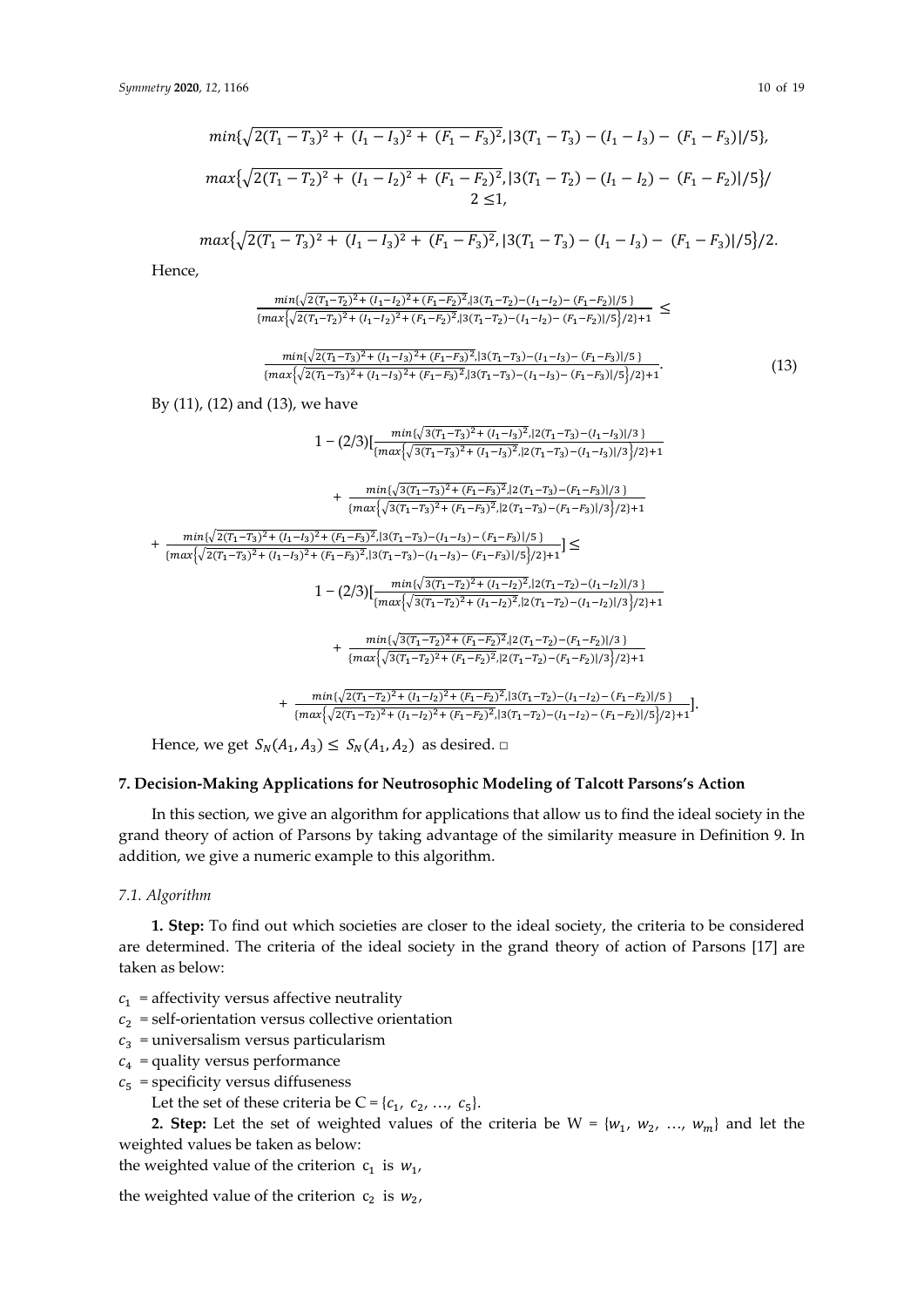$$
min\{\sqrt{2(T_1 - T_3)^2 + (I_1 - I_3)^2 + (F_1 - F_3)^2}, |3(T_1 - T_3) - (I_1 - I_3) - (F_1 - F_3)|/5\},\
$$

$$
max\{\sqrt{2(T_1 - T_2)^2 + (I_1 - I_2)^2 + (F_1 - F_2)^2}, |3(T_1 - T_2) - (I_1 - I_2) - (F_1 - F_2)|/5\}/
$$

$$
2 \le 1,
$$

$$
max\{\sqrt{2(T_1-T_3)^2+(I_1-I_3)^2+(F_1-F_3)^2},|3(T_1-T_3)-(I_1-I_3)-(F_1-F_3)|/5\}/2.
$$

Hence,

$$
\frac{\min\{\sqrt{2(T_1-T_2)^2+(I_1-I_2)^2+(F_1-F_2)^2},|3(T_1-T_2)-(I_1-I_2)-(F_1-F_2)|/5\}}{\{\max\{\sqrt{2(T_1-T_2)^2+(I_1-I_2)^2+(F_1-F_2)^2},|3(T_1-T_2)-(I_1-I_2)-(F_1-F_2)|/5\}/2\}+1} \le
$$

$$
\frac{\min\{\sqrt{2(T_1-T_3)^2+(I_1-I_3)^2+(F_1-F_3)^2}\} \cdot 3(T_1-T_3)-(I_1-I_3)-(F_1-F_3)|/5\}}{\{\max\{\sqrt{2(T_1-T_3)^2+(I_1-I_3)^2+(F_1-F_3)^2}\} \cdot 3(T_1-T_3)-(I_1-I_3)-(F_1-F_3)|/5\}/2\}+1}.
$$
\n(13)

By (11), (12) and (13), we have

$$
1 - (2/3) [\frac{\min\{\sqrt{3(T_1-T_3)^2 + (I_1-I_3)^2, |2(T_1-T_3) - (I_1-I_3)|/3\}}{\{\max\{\sqrt{3(T_1-T_3)^2 + (I_1-I_3)^2, |2(T_1-T_3) - (I_1-I_3)|/3\}}/2\}+1} + \frac{\min\{\sqrt{3(T_1-T_3)^2 + (F_1-F_3)^2, |2(T_1-T_3) - (F_1-F_3)|/3\}}}{\{\max\{\sqrt{3(T_1-T_3)^2 + (F_1-F_3)^2, |2(T_1-T_3) - (F_1-F_3)|/3\}}/2\}+1} + \frac{\min\{\sqrt{2(T_1-T_3)^2 + (I_1-I_3)^2 + (F_1-F_3)^2, |3(T_1-T_3) - (I_1-I_3) - (F_1-F_3)|/5\}}\}}{\{\max\{\sqrt{2(T_1-T_3)^2 + (I_1-I_3)^2 + (F_1-F_3)^2, |3(T_1-T_3) - (I_1-I_3) - (F_1-F_3)|/5\}}/2\}+1} \le 1 - (2/3) [\frac{\min\{\sqrt{3(T_1-T_2)^2 + (I_1-I_2)^2}, |2(T_1-T_2) - (I_1-I_2)|/3\}}{\{\max\{\sqrt{3(T_1-T_2)^2 + (I_1-I_2)^2}, |2(T_1-T_2) - (I_1-I_2)|/3\}}/2\}+1} + \frac{\min\{\sqrt{3(T_1-T_2)^2 + (F_1-F_2)^2}, |2(T_1-T_2) - (F_1-F_2)|/3\}}\}}{\{\max\{\sqrt{3(T_1-T_2)^2 + (F_1-F_2)^2}, |2(T_1-T_2) - (F_1-F_2)|/3\}}/2\}+1} + \frac{\min\{\sqrt{2(T_1-T_2)^2 + (I_1-I_2)^2 + (F_1-F_2)^2}, |3(T_1-T_2) - (I_1-I_2) - (F_1-F_2)|/5\}}}{\{\max\{\sqrt{2(T_1-T_2)^2 + (I_1-I_2)^2 + (F_1-F_2)^2}, |3(T_1-T_2) - (I_1-I_2) - (F_1-F_2)|/5\}}\}}.
$$

Hence, we get  $S_N(A_1, A_3) \leq S_N(A_1, A_2)$  as desired.  $\Box$ 

#### **7. Decision-Making Applications for Neutrosophic Modeling of Talcott Parsons's Action**

In this section, we give an algorithm for applications that allow us to find the ideal society in the grand theory of action of Parsons by taking advantage of the similarity measure in Definition 9. In addition, we give a numeric example to this algorithm.

#### *7.1. Algorithm*

**1. Step:** To find out which societies are closer to the ideal society, the criteria to be considered are determined. The criteria of the ideal society in the grand theory of action of Parsons [17] are taken as below:

- $c_1$  = affectivity versus affective neutrality
- $c_2$  = self-orientation versus collective orientation
- $c_3$  = universalism versus particularism
- $c_4$  = quality versus performance
- $c_5$  = specificity versus diffuseness
	- Let the set of these criteria be  $C = \{c_1, c_2, ..., c_5\}.$

**2. Step:** Let the set of weighted values of the criteria be  $W = \{w_1, w_2, ..., w_m\}$  and let the weighted values be taken as below:

the weighted value of the criterion  $c_1$  is  $w_1$ ,

the weighted value of the criterion  $c_2$  is  $w_2$ ,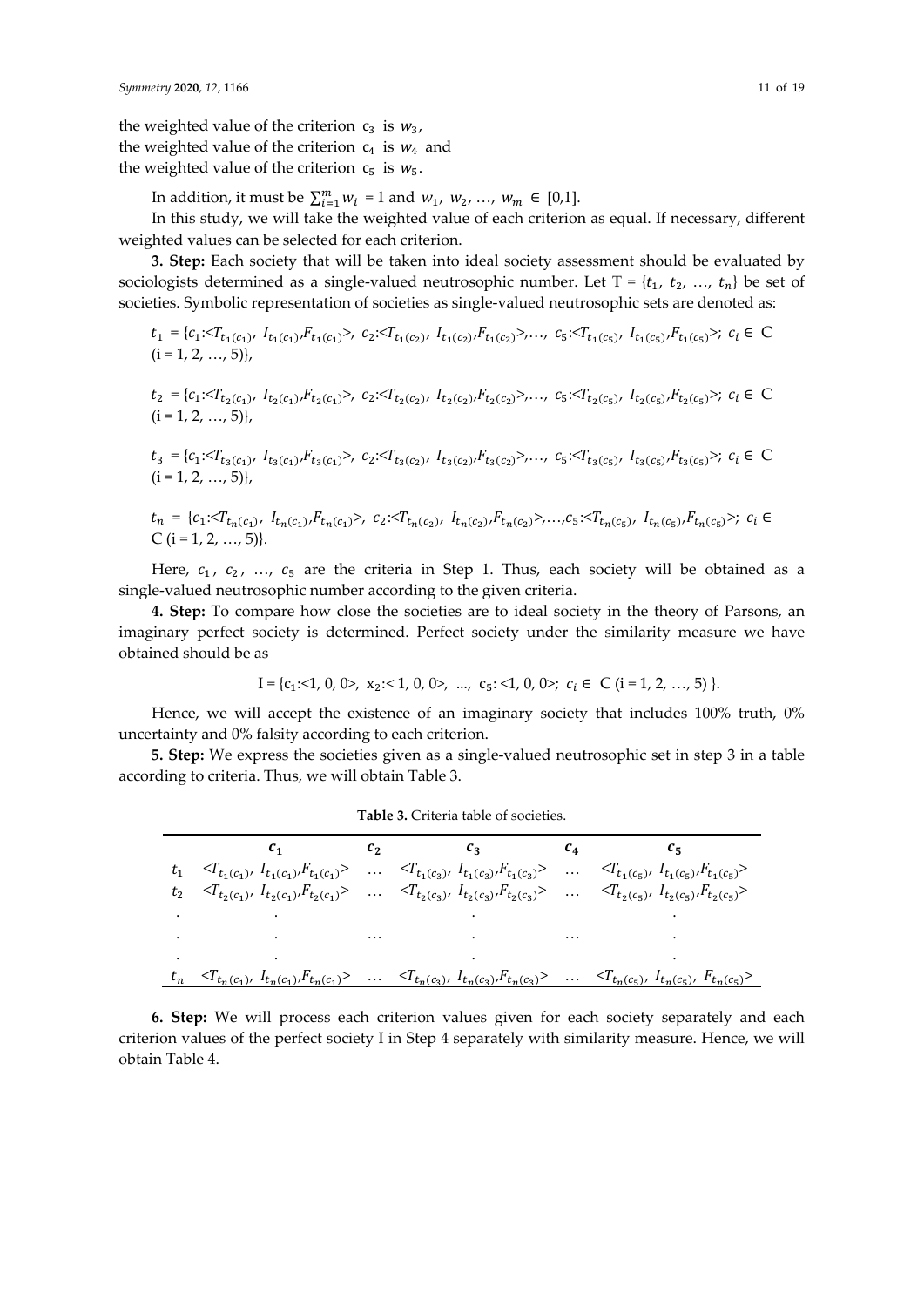the weighted value of the criterion  $c_3$  is  $w_3$ , the weighted value of the criterion  $c_4$  is  $w_4$  and the weighted value of the criterion  $c_5$  is  $w_5$ .

In addition, it must be  $\sum_{i=1}^{m} w_i = 1$  and  $w_1, w_2, ..., w_m \in [0,1].$ 

In this study, we will take the weighted value of each criterion as equal. If necessary, different weighted values can be selected for each criterion.

**3. Step:** Each society that will be taken into ideal society assessment should be evaluated by sociologists determined as a single-valued neutrosophic number. Let  $T = \{t_1, t_2, ..., t_n\}$  be set of societies. Symbolic representation of societies as single-valued neutrosophic sets are denoted as:

$$
t_{1} = \{c_{1}: \langle T_{t_{1}(c_{1})}, I_{t_{1}(c_{1})}, F_{t_{1}(c_{1})} \rangle, c_{2}: \langle T_{t_{1}(c_{2})}, I_{t_{1}(c_{2})}, F_{t_{1}(c_{2})} \rangle, \dots, c_{5}: \langle T_{t_{1}(c_{5})}, I_{t_{1}(c_{5})}, F_{t_{1}(c_{5})} \rangle; c_{i} \in C
$$
  
(i = 1, 2, ..., 5)\},  

$$
t_{2} = \{c_{1}: \langle T_{t_{2}(c_{1})}, I_{t_{2}(c_{1})}, F_{t_{2}(c_{1})} \rangle, c_{2}: \langle T_{t_{2}(c_{2})}, I_{t_{2}(c_{2})}, F_{t_{2}(c_{2})} \rangle, \dots, c_{5}: \langle T_{t_{2}(c_{5})}, I_{t_{2}(c_{5})}, F_{t_{2}(c_{5})} \rangle; c_{i} \in C
$$
  
(i = 1, 2, ..., 5)\},

 $t_3 = \{c_1 < T_{t_3(c_1)}, \ I_{t_3(c_1)}, F_{t_3(c_1)} > , \ c_2 < T_{t_3(c_2)}, \ I_{t_3(c_2)}, F_{t_3(c_2)} > , \ldots, \ c_5 < T_{t_3(c_5)}, \ I_{t_3(c_5)}, F_{t_3(c_5)} > ; \ c_i \in C_i \}$  $(i = 1, 2, ..., 5)$ 

$$
t_n = \{c_1: T_{t_n(c_1)}, I_{t_n(c_1)}, F_{t_n(c_1)}\}, c_2: T_{t_n(c_2)}, I_{t_n(c_2)}, F_{t_n(c_2)}\}, \dots, c_5: T_{t_n(c_5)}, I_{t_n(c_5)}, F_{t_n(c_5)}\}
$$
;  $c_i \in$  C (i = 1, 2, ..., 5)\}.

Here,  $c_1$ ,  $c_2$ , ...,  $c_5$  are the criteria in Step 1. Thus, each society will be obtained as a single-valued neutrosophic number according to the given criteria.

**4. Step:** To compare how close the societies are to ideal society in the theory of Parsons, an imaginary perfect society is determined. Perfect society under the similarity measure we have obtained should be as

$$
\mathrm{I}=\{c_1\!\!:\!\!\!<\!\!1,0,0\!\!>,\ x_2\!\!:\!\!<\!\!1,0,0\!\!>,\ \ldots,\ c_5\!\!:\!\!<\!\!1,0,0\!\!); \ c_i\in\mathrm{C}\ (i=1,2,\ldots,5)\}.
$$

Hence, we will accept the existence of an imaginary society that includes 100% truth, 0% uncertainty and 0% falsity according to each criterion.

**5. Step:** We express the societies given as a single-valued neutrosophic set in step 3 in a table according to criteria. Thus, we will obtain Table 3.

| Table 3. Criteria table of societies. |  |
|---------------------------------------|--|
| Cэ                                    |  |

|               |                                                                                                                                                                                                                                                                     | $c_1$ $c_2$ $c_3$ | $c_4$ $c_5$                                                                                                                                                                                          |
|---------------|---------------------------------------------------------------------------------------------------------------------------------------------------------------------------------------------------------------------------------------------------------------------|-------------------|------------------------------------------------------------------------------------------------------------------------------------------------------------------------------------------------------|
|               | $t_1 \quad \sphericalangle T_{t_1(c_1)}, \,\, I_{t_1(c_1)}, F_{t_1(c_1)} \rangle \quad \cdots \quad \sphericalangle T_{t_1(c_3)}, \,\, I_{t_1(c_3)}, F_{t_1(c_3)} \rangle \quad \cdots \quad \sphericalangle T_{t_1(c_5)}, \,\, I_{t_1(c_5)}, F_{t_1(c_5)} \rangle$ |                   |                                                                                                                                                                                                      |
|               | $t_2 \quad \sphericalangle T_{t_2(c_1)}, \ I_{t_2(c_1)}, F_{t_2(c_1)} \rangle \quad \cdots \quad \sphericalangle T_{t_2(c_3)}, \ I_{t_2(c_3)}, F_{t_2(c_3)} \rangle \quad \cdots \quad \sphericalangle T_{t_2(c_5)}, \ I_{t_2(c_5)}, F_{t_2(c_5)} \rangle$          |                   |                                                                                                                                                                                                      |
| $\sim$ $\sim$ |                                                                                                                                                                                                                                                                     |                   |                                                                                                                                                                                                      |
|               | the contract of the contract of the contract of the contract of the contract of the contract of the                                                                                                                                                                 |                   |                                                                                                                                                                                                      |
| $\cdot$       |                                                                                                                                                                                                                                                                     |                   |                                                                                                                                                                                                      |
|               |                                                                                                                                                                                                                                                                     |                   | $t_n \prec T_{t_n(c_1)}, \quad I_{t_n(c_1)}, F_{t_n(c_1)} \succ \cdots \prec T_{t_n(c_3)}, \quad I_{t_n(c_3)}, F_{t_n(c_3)} \succ \cdots \prec T_{t_n(c_5)}, \quad I_{t_n(c_5)}, F_{t_n(c_5)} \succ$ |

**6. Step:** We will process each criterion values given for each society separately and each criterion values of the perfect society I in Step 4 separately with similarity measure. Hence, we will obtain Table 4.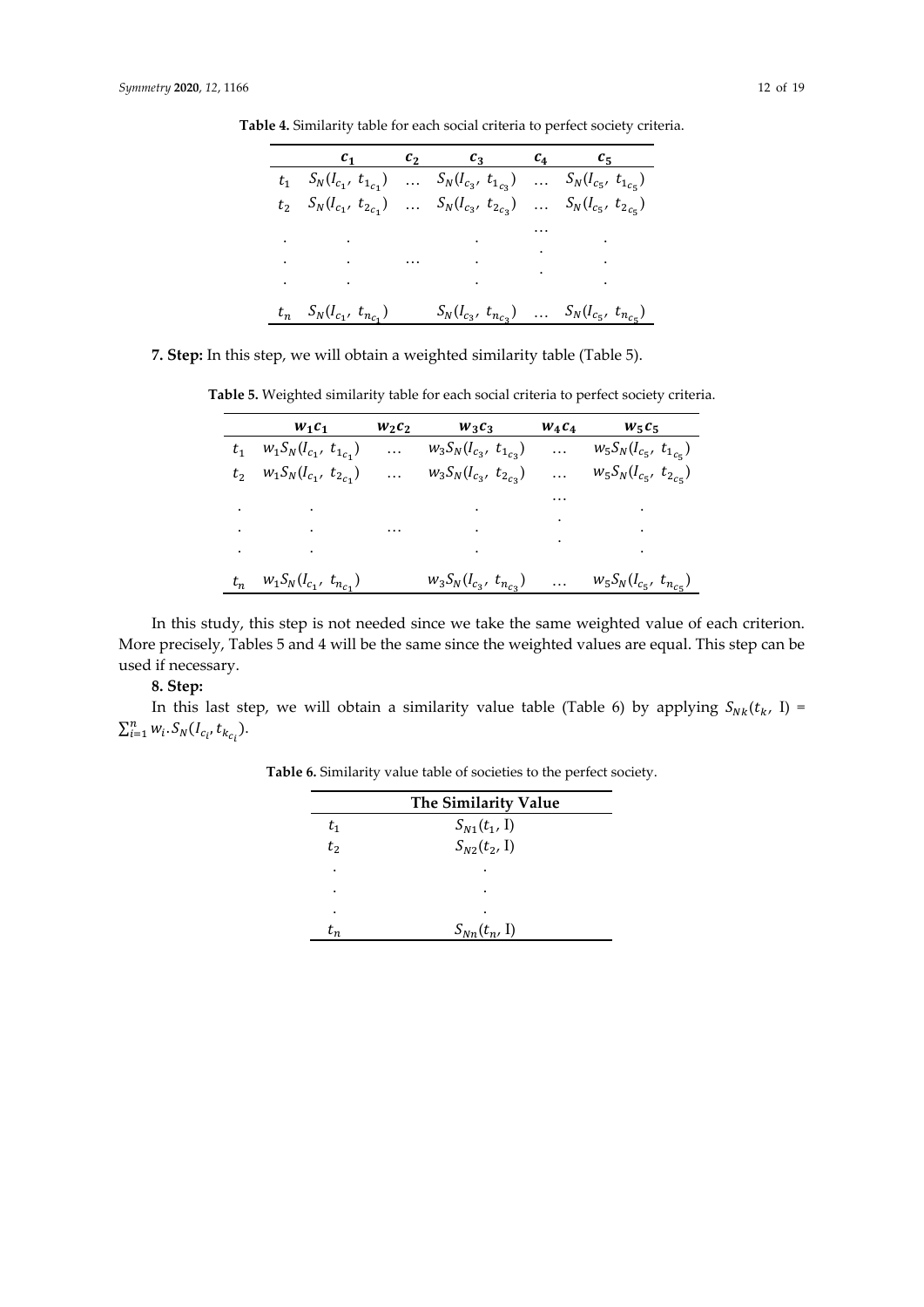|                                                                                           | $c_1$ $c_2$ $c_3$ $c_4$ $c_5$                           |  |
|-------------------------------------------------------------------------------------------|---------------------------------------------------------|--|
| $t_1$ $S_N(I_{c_1}, t_{1_{c_1}})$ $S_N(I_{c_3}, t_{1_{c_3}})$ $S_N(I_{c_5}, t_{1_{c_5}})$ |                                                         |  |
| $t_2$ $S_N(l_{c_1}, t_{2_{c_1}})$ $S_N(l_{c_3}, t_{2_{c_3}})$ $S_N(l_{c_5}, t_{2_{c_5}})$ |                                                         |  |
|                                                                                           |                                                         |  |
|                                                                                           |                                                         |  |
|                                                                                           |                                                         |  |
|                                                                                           |                                                         |  |
|                                                                                           |                                                         |  |
|                                                                                           |                                                         |  |
| $t_n$ $S_N(I_{c_1}, t_{n_{c_1}})$                                                         | $S_N(I_{c_3}, t_{n_{c_3}})$ $S_N(I_{c_5}, t_{n_{c_5}})$ |  |

**Table 4.** Similarity table for each social criteria to perfect society criteria.

**7. Step:** In this step, we will obtain a weighted similarity table (Table 5).

**Table 5.** Weighted similarity table for each social criteria to perfect society criteria.

|       | $W_1C_1$                                                                                                                                                                                                                                                                                                                                                                                                                                                    | $w_2c_2$ | $W_3C_3$                                                                                                                                                                                                                                                                                                                                                                                                                                                    | $W_4C_4$                                                                                                                       | $W_5C_5$                                                                          |
|-------|-------------------------------------------------------------------------------------------------------------------------------------------------------------------------------------------------------------------------------------------------------------------------------------------------------------------------------------------------------------------------------------------------------------------------------------------------------------|----------|-------------------------------------------------------------------------------------------------------------------------------------------------------------------------------------------------------------------------------------------------------------------------------------------------------------------------------------------------------------------------------------------------------------------------------------------------------------|--------------------------------------------------------------------------------------------------------------------------------|-----------------------------------------------------------------------------------|
|       | $w_1 S_N (I_{c_1}, t_{1_{c_1}})$                                                                                                                                                                                                                                                                                                                                                                                                                            | .        | $w_3S_N(I_{c_3}, t_{1_{c_3}})$                                                                                                                                                                                                                                                                                                                                                                                                                              | $\dddotsc$                                                                                                                     | $w_5 S_N (I_{c_5}, t_{1_{c_5}})$                                                  |
|       | $t_2$ $w_1 S_N (I_{c_1}, t_{2_{c_1}})$                                                                                                                                                                                                                                                                                                                                                                                                                      | .        | $w_3S_N(I_{c_3}, t_{2_{c_3}})$                                                                                                                                                                                                                                                                                                                                                                                                                              | .                                                                                                                              | $w_5S_N(I_{c_5}, t_{2_{c_5}})$                                                    |
|       |                                                                                                                                                                                                                                                                                                                                                                                                                                                             |          |                                                                                                                                                                                                                                                                                                                                                                                                                                                             | $\cdots$                                                                                                                       |                                                                                   |
| ۰     | and the state of the state of                                                                                                                                                                                                                                                                                                                                                                                                                               |          | $\mathcal{L}(\mathcal{L}(\mathcal{L}(\mathcal{L}(\mathcal{L}(\mathcal{L}(\mathcal{L}(\mathcal{L}(\mathcal{L}(\mathcal{L}(\mathcal{L}(\mathcal{L}(\mathcal{L}(\mathcal{L}(\mathcal{L}(\mathcal{L}(\mathcal{L}(\mathcal{L}(\mathcal{L}(\mathcal{L}(\mathcal{L}(\mathcal{L}(\mathcal{L}(\mathcal{L}(\mathcal{L}(\mathcal{L}(\mathcal{L}(\mathcal{L}(\mathcal{L}(\mathcal{L}(\mathcal{L}(\mathcal{L}(\mathcal{L}(\mathcal{L}(\mathcal{L}(\mathcal{L}(\mathcal{$ |                                                                                                                                |                                                                                   |
|       | $\mathcal{L}_{\mathcal{A}}$ and $\mathcal{L}_{\mathcal{A}}$ are the second contributions of the second contribution $\mathcal{L}_{\mathcal{A}}$                                                                                                                                                                                                                                                                                                             |          |                                                                                                                                                                                                                                                                                                                                                                                                                                                             |                                                                                                                                | and the state of the                                                              |
| ٠     | $\mathcal{L}(\mathcal{L}(\mathcal{L}(\mathcal{L}(\mathcal{L}(\mathcal{L}(\mathcal{L}(\mathcal{L}(\mathcal{L}(\mathcal{L}(\mathcal{L}(\mathcal{L}(\mathcal{L}(\mathcal{L}(\mathcal{L}(\mathcal{L}(\mathcal{L}(\mathcal{L}(\mathcal{L}(\mathcal{L}(\mathcal{L}(\mathcal{L}(\mathcal{L}(\mathcal{L}(\mathcal{L}(\mathcal{L}(\mathcal{L}(\mathcal{L}(\mathcal{L}(\mathcal{L}(\mathcal{L}(\mathcal{L}(\mathcal{L}(\mathcal{L}(\mathcal{L}(\mathcal{L}(\mathcal{$ |          | $\mathcal{L}(\mathcal{L}(\mathcal{L}(\mathcal{L}(\mathcal{L}(\mathcal{L}(\mathcal{L}(\mathcal{L}(\mathcal{L}(\mathcal{L}(\mathcal{L}(\mathcal{L}(\mathcal{L}(\mathcal{L}(\mathcal{L}(\mathcal{L}(\mathcal{L}(\mathcal{L}(\mathcal{L}(\mathcal{L}(\mathcal{L}(\mathcal{L}(\mathcal{L}(\mathcal{L}(\mathcal{L}(\mathcal{L}(\mathcal{L}(\mathcal{L}(\mathcal{L}(\mathcal{L}(\mathcal{L}(\mathcal{L}(\mathcal{L}(\mathcal{L}(\mathcal{L}(\mathcal{L}(\mathcal{$ | $\mathcal{L}(\mathcal{L}^{\mathcal{L}})$ , $\mathcal{L}(\mathcal{L}^{\mathcal{L}})$ , $\mathcal{L}(\mathcal{L}^{\mathcal{L}})$ | $\mathcal{L}^{\text{max}}_{\text{max}}$ , $\mathcal{L}^{\text{max}}_{\text{max}}$ |
| $t_n$ | $w_1 S_N (I_{c_1}, t_{n_{c_1}})$                                                                                                                                                                                                                                                                                                                                                                                                                            |          | $w_3 S_N (I_{c_3}, t_{n_{c_3}})$                                                                                                                                                                                                                                                                                                                                                                                                                            | $\cdots$                                                                                                                       | $w_5 S_N (I_{c_5}, t_{n_{c_5}})$                                                  |

In this study, this step is not needed since we take the same weighted value of each criterion. More precisely, Tables 5 and 4 will be the same since the weighted values are equal. This step can be used if necessary.

# **8. Step:**

In this last step, we will obtain a similarity value table (Table 6) by applying  $S_{Nk}(t_k, 1)$  =  $\sum_{i=1}^{n} w_i \cdot S_N(I_{c_i}, t_{k_{c_i}}).$ 

**Table 6.** Similarity value table of societies to the perfect society.

|          | The Similarity Value |
|----------|----------------------|
| $t_{1}$  | $S_{N1}(t_1, 1)$     |
| $t_2$    | $S_{N2}(t_2, 1)$     |
| ٠        |                      |
|          |                      |
|          |                      |
| $\tau_n$ | $S_{Nn}(t_n, 1)$     |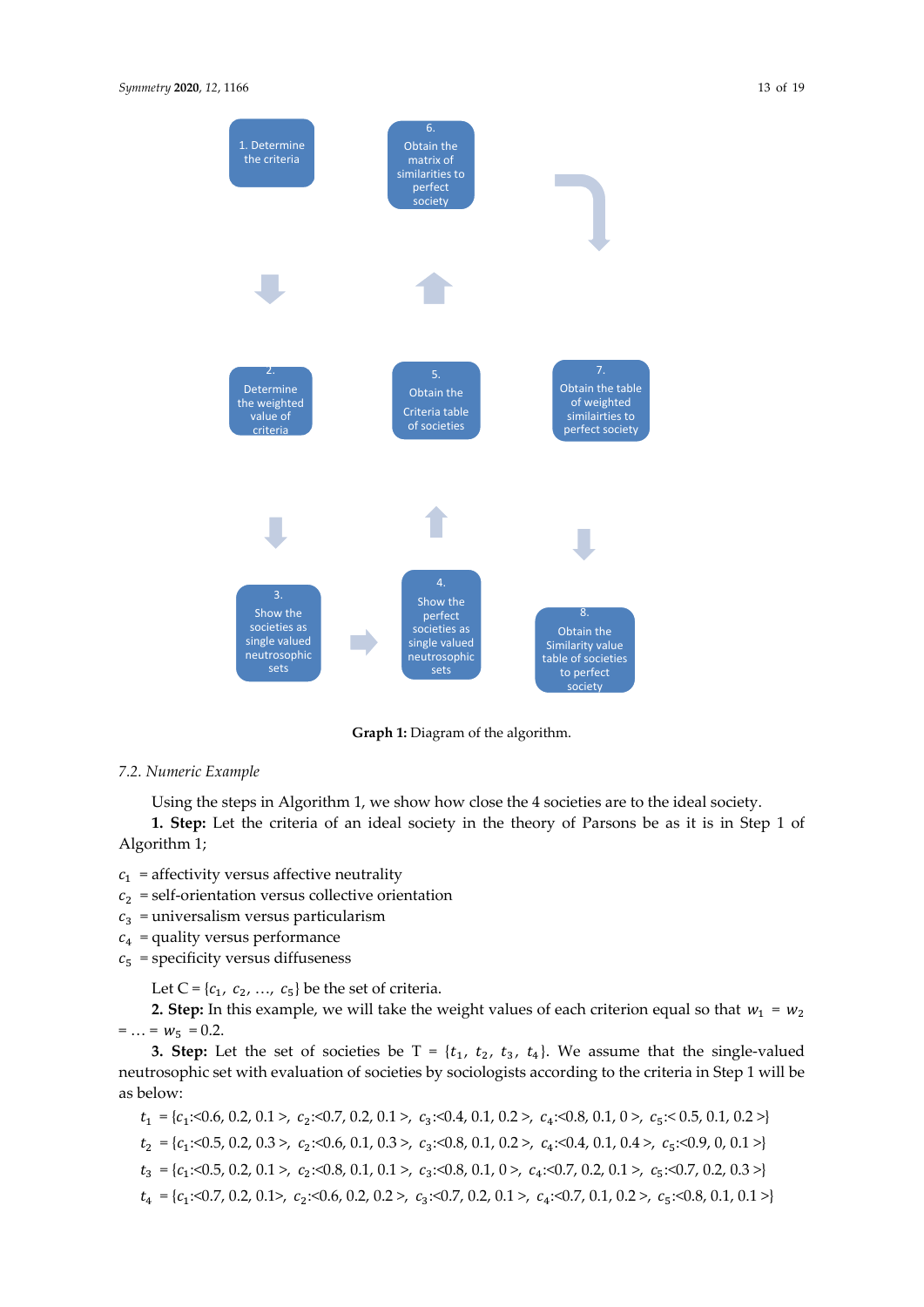

**Graph 1:** Diagram of the algorithm.

## *7.2. Numeric Example*

Using the steps in Algorithm 1, we show how close the 4 societies are to the ideal society.

**1. Step:** Let the criteria of an ideal society in the theory of Parsons be as it is in Step 1 of Algorithm 1;

 $c_1$  = affectivity versus affective neutrality

- $c_2$  = self-orientation versus collective orientation
- $c_3$  = universalism versus particularism
- $c_4$  = quality versus performance
- $c_5$  = specificity versus diffuseness

Let C = { $c_1$ ,  $c_2$ , ...,  $c_5$ } be the set of criteria.

**2. Step:** In this example, we will take the weight values of each criterion equal so that  $w_1 = w_2$  $= ... = w_5 = 0.2$ .

**3. Step:** Let the set of societies be  $T = \{t_1, t_2, t_3, t_4\}$ . We assume that the single-valued neutrosophic set with evaluation of societies by sociologists according to the criteria in Step 1 will be as below:

 $t_1 = \{c_1 \le 0.6, 0.2, 0.1 > c_2 \le 0.7, 0.2, 0.1 > c_3 \le 0.4, 0.1, 0.2 > c_4 \le 0.8, 0.1, 0 > c_5 \le 0.5, 0.1, 0.2 >\}$ 

 $t_2 = \{c_1:0.5, 0.2, 0.3>, c_2:0.6, 0.1, 0.3>, c_3:0.8, 0.1, 0.2>, c_4:0.4, 0.1, 0.4>, c_5:0.9, 0, 0.1>\}$ 

 $t_3 = \{c_1: 0.5, 0.2, 0.1 > c_2: 0.8, 0.1, 0.1 > c_3: 0.8, 0.1, 0 > c_4: 0.7, 0.2, 0.1 > c_5: 0.7, 0.2, 0.3 >\}$ 

 $t_4 = \{c_1 \le 0.7, 0.2, 0.1\}$ ,  $c_2 \le 0.6, 0.2, 0.2\}$ ,  $c_3 \le 0.7, 0.2, 0.1\}$ ,  $c_4 \le 0.7, 0.1, 0.2\}$ ,  $c_5 \le 0.8, 0.1, 0.1\}$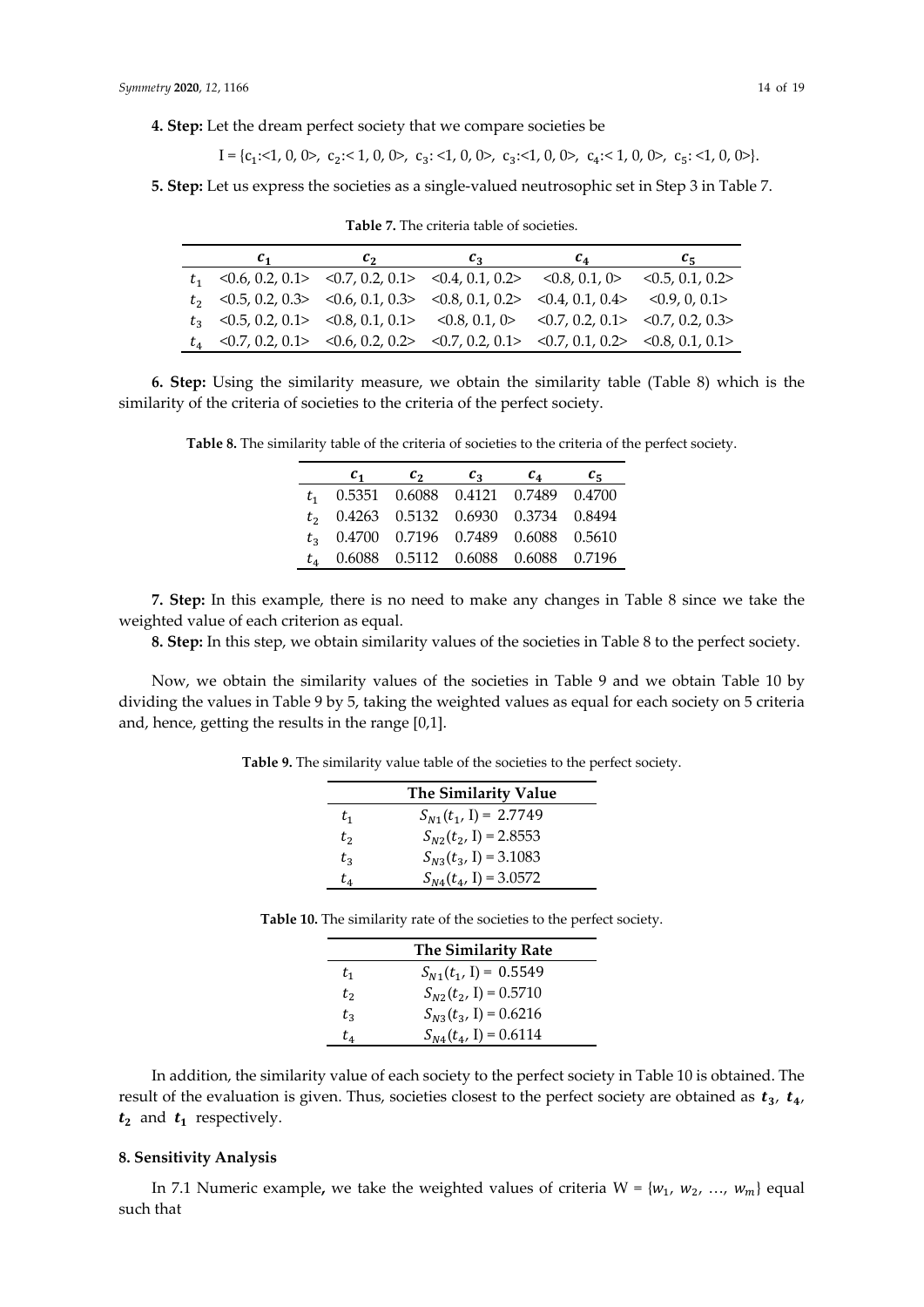**4. Step:** Let the dream perfect society that we compare societies be

$$
I = \{c_1: \le 1, 0, 0>, c_2: \le 1, 0, 0>, c_3: \le 1, 0, 0>, c_3: \le 1, 0, 0, c_4: \le 1, 0, 0>, c_5: \le 1, 0, 0\}.
$$

**5. Step:** Let us express the societies as a single-valued neutrosophic set in Step 3 in Table 7.

| $c_{1}$                                                                                    | $c_{2}$ | $c_{3}$ | $c_4$ | $c_{\rm S}$ |
|--------------------------------------------------------------------------------------------|---------|---------|-------|-------------|
| $t_1$ < 0.6, 0.2, 0.1> < 0.7, 0.2, 0.1> < 0.4, 0.1, 0.2> < 0.8, 0.1, 0.2> < 0.5, 0.1, 0.2> |         |         |       |             |
| $t_2$ < 0.5, 0.2, 0.3> < 0.6, 0.1, 0.3> < 0.8, 0.1, 0.2> < 0.4, 0.1, 0.4> < 0.9, 0, 0.1>   |         |         |       |             |
| $t_3$ < 0.5, 0.2, 0.1> < 0.8, 0.1, 0.1> < 0.8, 0.1, 0> < 0.7, 0.2, 0.1> < 0.7, 0.2, 0.3>   |         |         |       |             |
| $t_4$ <0.7, 0.2, 0.1> <0.6, 0.2, 0.2> <0.7, 0.2, 0.1> <0.7, 0.1, 0.2> <0.8, 0.1, 0.1>      |         |         |       |             |

**Table 7.** The criteria table of societies.

**6. Step:** Using the similarity measure, we obtain the similarity table (Table 8) which is the similarity of the criteria of societies to the criteria of the perfect society.

**Table 8.** The similarity table of the criteria of societies to the criteria of the perfect society.

|                            | $c_1$                                    | $c_2$ | $c_3$ | $c_4$                                  | $c_{5}$ |
|----------------------------|------------------------------------------|-------|-------|----------------------------------------|---------|
|                            | $t_1$ 0.5351 0.6088 0.4121 0.7489 0.4700 |       |       |                                        |         |
|                            | $t_2$ 0.4263 0.5132 0.6930 0.3734 0.8494 |       |       |                                        |         |
|                            | $t_3$ 0.4700 0.7196 0.7489 0.6088 0.5610 |       |       |                                        |         |
| $t_{\scriptscriptstyle A}$ |                                          |       |       | 0.6088  0.5112  0.6088  0.6088  0.7196 |         |

**7. Step:** In this example, there is no need to make any changes in Table 8 since we take the weighted value of each criterion as equal.

**8. Step:** In this step, we obtain similarity values of the societies in Table 8 to the perfect society.

Now, we obtain the similarity values of the societies in Table 9 and we obtain Table 10 by dividing the values in Table 9 by 5, taking the weighted values as equal for each society on 5 criteria and, hence, getting the results in the range [0,1].

**Table 9.** The similarity value table of the societies to the perfect society.

|         | The Similarity Value      |
|---------|---------------------------|
| $t_{1}$ | $S_{N1}(t_1, I) = 2.7749$ |
| $t_2$   | $S_{N2}(t_2, I) = 2.8553$ |
| $t_3$   | $S_{N3}(t_3, I) = 3.1083$ |
| t4      | $S_{N4}(t_4, I) = 3.0572$ |

|         | <b>The Similarity Rate</b> |
|---------|----------------------------|
| $t_{1}$ | $S_{N1}(t_1, I) = 0.5549$  |
| $t_{2}$ | $S_{N2}(t_2, I) = 0.5710$  |
| $t_{3}$ | $S_{N3}(t_3, I) = 0.6216$  |
| t4      | $S_{N4}(t_4, I) = 0.6114$  |

**Table 10.** The similarity rate of the societies to the perfect society.

In addition, the similarity value of each society to the perfect society in Table 10 is obtained. The result of the evaluation is given. Thus, societies closest to the perfect society are obtained as  $t_3$ ,  $t_4$ ,  $t_2$  and  $t_1$  respectively.

## **8. Sensitivity Analysis**

In 7.1 Numeric example, we take the weighted values of criteria  $W = \{w_1, w_2, ..., w_m\}$  equal such that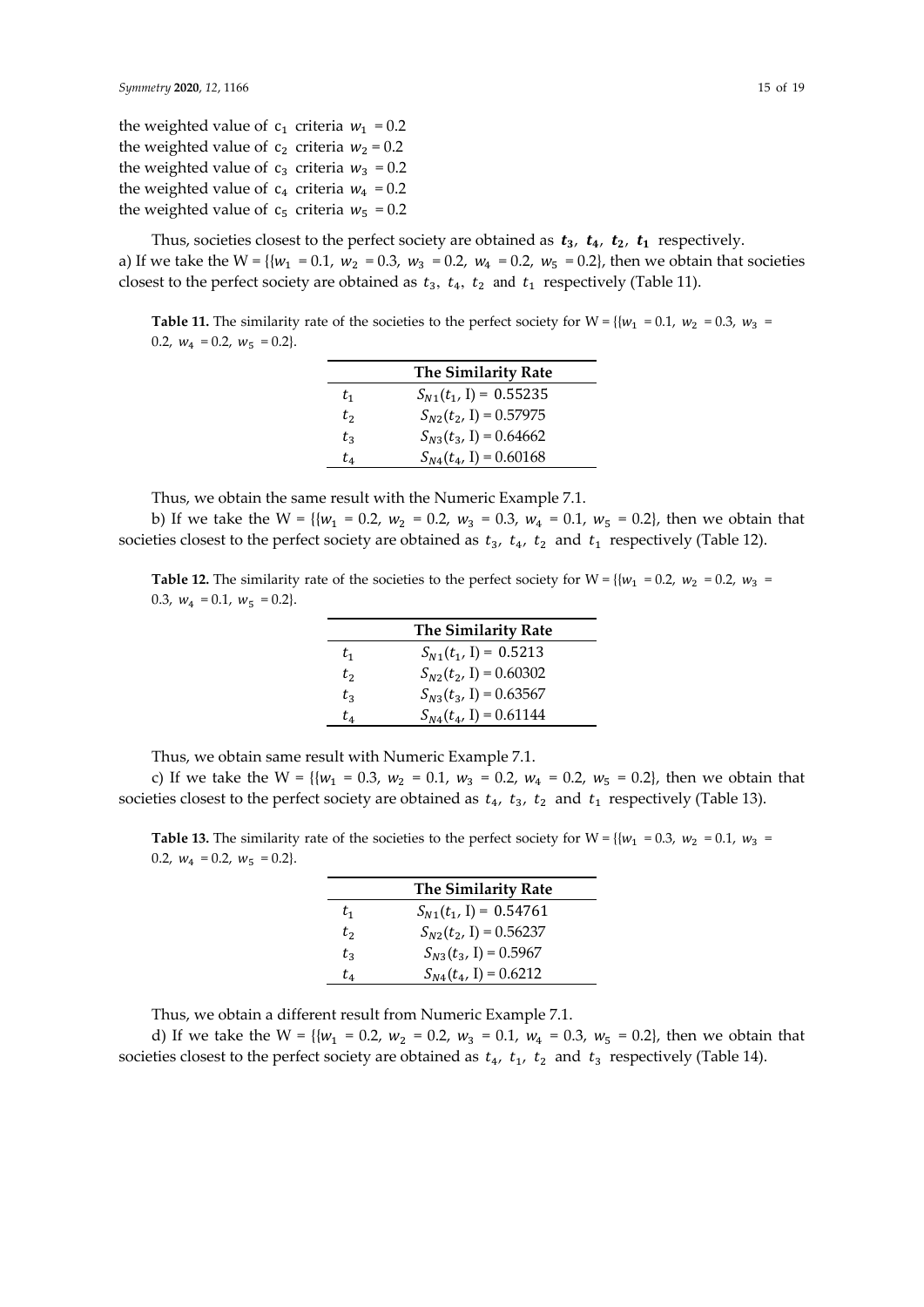the weighted value of  $c_1$  criteria  $w_1 = 0.2$ the weighted value of  $c_2$  criteria  $w_2 = 0.2$ the weighted value of  $c_3$  criteria  $w_3 = 0.2$ the weighted value of  $c_4$  criteria  $w_4 = 0.2$ the weighted value of  $c_5$  criteria  $w_5 = 0.2$ 

Thus, societies closest to the perfect society are obtained as  $t_3$ ,  $t_4$ ,  $t_2$ ,  $t_1$  respectively. a) If we take the W = {{ $w_1$  = 0.1,  $w_2$  = 0.3,  $w_3$  = 0.2,  $w_4$  = 0.2,  $w_5$  = 0.2}, then we obtain that societies closest to the perfect society are obtained as  $t_3$ ,  $t_4$ ,  $t_2$  and  $t_1$  respectively (Table 11).

**Table 11.** The similarity rate of the societies to the perfect society for W =  $\{w_1 = 0.1, w_2 = 0.3, w_3 = 0.1, w_4 = 0.1, w_5 = 0.1, w_6 = 0.1, w_7 = 0.1, w_8 = 0.1, w_9 = 0.1, w_1 = 0.1, w_1 = 0.1, w_2 = 0.1, w_3 = 0.1, w_4 = 0.1, w_5 = 0.1, w_7$ 0.2,  $w_4 = 0.2$ ,  $w_5 = 0.2$ .

|         | <b>The Similarity Rate</b> |
|---------|----------------------------|
| $t_{1}$ | $S_{N1}(t_1, I) = 0.55235$ |
| $t_2$   | $S_{N2}(t_2, I) = 0.57975$ |
| t2      | $S_{N3}(t_3, I) = 0.64662$ |
| t4      | $S_{N4}(t_4, I) = 0.60168$ |

Thus, we obtain the same result with the Numeric Example 7.1.

b) If we take the W = {{ $w_1$  = 0.2,  $w_2$  = 0.2,  $w_3$  = 0.3,  $w_4$  = 0.1,  $w_5$  = 0.2}, then we obtain that societies closest to the perfect society are obtained as  $t_3$ ,  $t_4$ ,  $t_2$  and  $t_1$  respectively (Table 12).

**Table 12.** The similarity rate of the societies to the perfect society for W =  $\{w_1 = 0.2, w_2 = 0.2, w_3 = 0.2, w_4 = 0.2, w_5 = 0.2, w_6 = 0.2, w_7 = 0.2, w_8 = 0.2, w_9 = 0.2, w_1 = 0.2, w_1 = 0.2, w_2 = 0.2, w_3 = 0.2, w_4 = 0.2, w_5 = 0.2, w_6$ 0.3,  $w_4 = 0.1$ ,  $w_5 = 0.2$ .

|         | <b>The Similarity Rate</b> |
|---------|----------------------------|
| t1      | $S_{N1}(t_1, I) = 0.5213$  |
| t,      | $S_{N2}(t_2, I) = 0.60302$ |
| $t_{3}$ | $S_{N3}(t_3, I) = 0.63567$ |
| t4      | $S_{N4}(t_4, I) = 0.61144$ |

Thus, we obtain same result with Numeric Example 7.1.

c) If we take the W = { ${w_1 = 0.3, w_2 = 0.1, w_3 = 0.2, w_4 = 0.2, w_5 = 0.2}$ }, then we obtain that societies closest to the perfect society are obtained as  $t_4$ ,  $t_3$ ,  $t_2$  and  $t_1$  respectively (Table 13).

**Table 13.** The similarity rate of the societies to the perfect society for  $W = \{(w_1 = 0.3, w_2 = 0.1, w_3 = 0.1, w_4 = 0.0, w_5 = 0.0\}$ 0.2,  $w_4 = 0.2$ ,  $w_5 = 0.2$ .

|         | <b>The Similarity Rate</b> |
|---------|----------------------------|
| $t_{1}$ | $S_{N1}(t_1, 1) = 0.54761$ |
| $t_2$   | $S_{N2}(t_2, I) = 0.56237$ |
| $t_{3}$ | $S_{N3}(t_3, I) = 0.5967$  |
| t4      | $S_{N4}(t_4, I) = 0.6212$  |

Thus, we obtain a different result from Numeric Example 7.1.

d) If we take the W = { ${w_1 = 0.2, w_2 = 0.2, w_3 = 0.1, w_4 = 0.3, w_5 = 0.2}$ }, then we obtain that societies closest to the perfect society are obtained as  $t_4$ ,  $t_1$ ,  $t_2$  and  $t_3$  respectively (Table 14).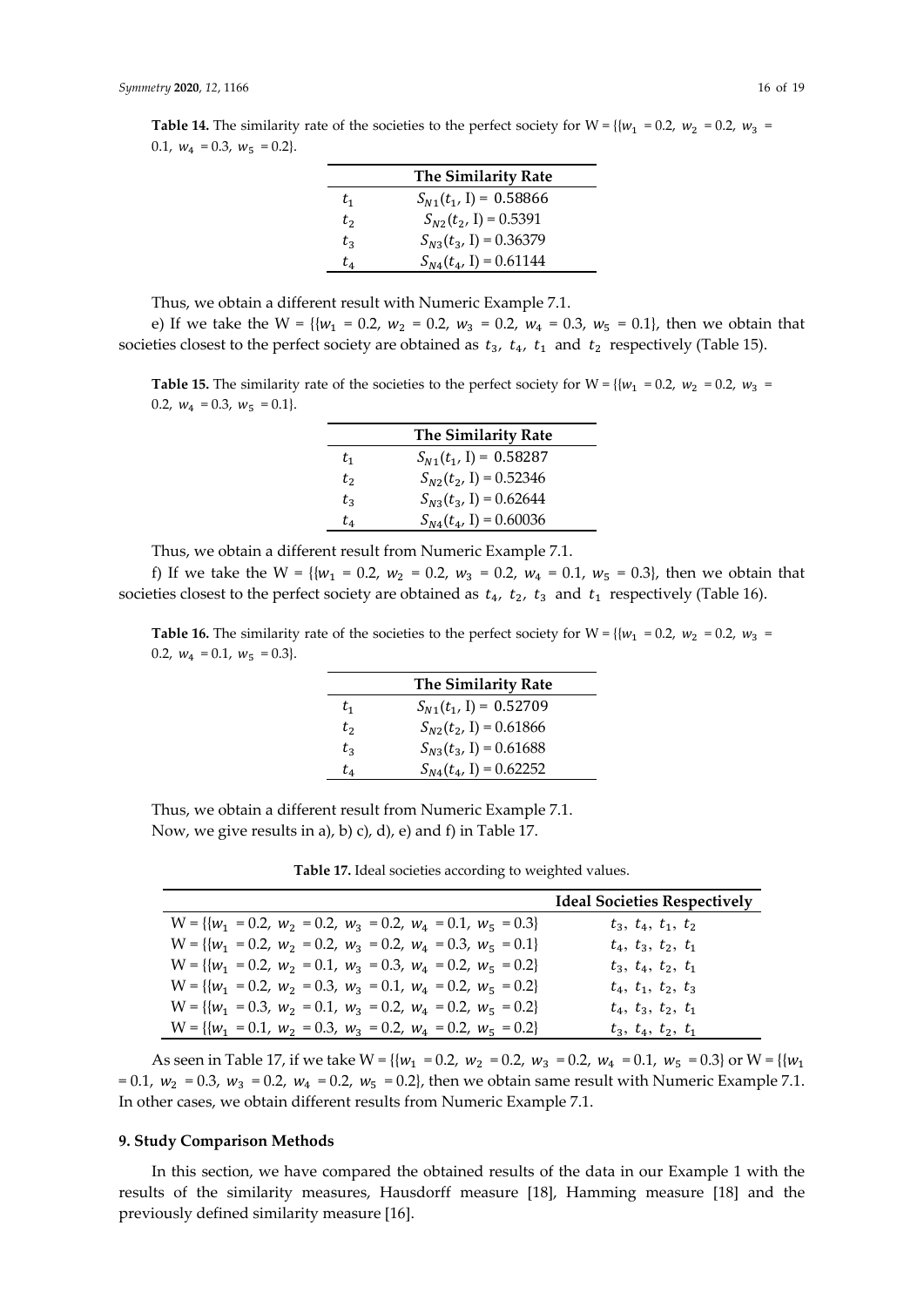| <b>The Similarity Rate</b> |                            |
|----------------------------|----------------------------|
| $t_{1}$                    | $S_{N1}(t_1, I) = 0.58866$ |
| t <sub>2</sub>             | $S_{N2}(t_2, I) = 0.5391$  |
| $t_{3}$                    | $S_{N3}(t_3, I) = 0.36379$ |
| $t_{4}$                    | $S_{N4}(t_4, I) = 0.61144$ |

Thus, we obtain a different result with Numeric Example 7.1.

e) If we take the W = { ${w_1 = 0.2, w_2 = 0.2, w_3 = 0.2, w_4 = 0.3, w_5 = 0.1}$ , then we obtain that societies closest to the perfect society are obtained as  $t_3$ ,  $t_4$ ,  $t_1$  and  $t_2$  respectively (Table 15).

**Table 15.** The similarity rate of the societies to the perfect society for  $W = \{w_1 = 0.2, w_2 = 0.2, w_3 = 0.2, w_4 = 0.2, w_5 = 0.2, w_6 = 0.2, w_7 = 0.2, w_8 = 0.2, w_9 = 0.2, w_1 = 0.2, w_1 = 0.2, w_2 = 0.2, w_3 = 0.2, w_4 = 0.2, w_5 = 0.2, w_6 =$ 0.2,  $w_4 = 0.3$ ,  $w_5 = 0.1$ .

|                | <b>The Similarity Rate</b> |
|----------------|----------------------------|
| $t_{1}$        | $S_{N1}(t_1, I) = 0.58287$ |
| t <sub>2</sub> | $S_{N2}(t_2, I) = 0.52346$ |
| $t_{3}$        | $S_{N3}(t_3, I) = 0.62644$ |
| t4             | $S_{N4}(t_4, I) = 0.60036$ |

Thus, we obtain a different result from Numeric Example 7.1.

f) If we take the W = { ${w_1 = 0.2, w_2 = 0.2, w_3 = 0.2, w_4 = 0.1, w_5 = 0.3}$ , then we obtain that societies closest to the perfect society are obtained as  $t_4$ ,  $t_2$ ,  $t_3$  and  $t_1$  respectively (Table 16).

**Table 16.** The similarity rate of the societies to the perfect society for W =  $\{w_1 = 0.2, w_2 = 0.2, w_3 = 0.2, w_4 = 0.2, w_5 = 0.2, w_6 = 0.2, w_7 = 0.2, w_8 = 0.2, w_9 = 0.2, w_1 = 0.2, w_1 = 0.2, w_2 = 0.2, w_3 = 0.2, w_4 = 0.2, w_5 = 0.2, w_6$ 0.2,  $w_4 = 0.1$ ,  $w_5 = 0.3$ .

|         | <b>The Similarity Rate</b> |
|---------|----------------------------|
| $t_{1}$ | $S_{N1}(t_1, I) = 0.52709$ |
| $t_{2}$ | $S_{N2}(t_2, I) = 0.61866$ |
| $t_{3}$ | $S_{N3}(t_3, I) = 0.61688$ |
| $t_{4}$ | $S_{N4}(t_4, I) = 0.62252$ |

Thus, we obtain a different result from Numeric Example 7.1. Now, we give results in a), b) c), d), e) and f) in Table 17.

**Table 17.** Ideal societies according to weighted values.

|                                                                     | <b>Ideal Societies Respectively</b> |
|---------------------------------------------------------------------|-------------------------------------|
| $W = \{ \{w_1 = 0.2, w_2 = 0.2, w_3 = 0.2, w_4 = 0.1, w_5 = 0.3 \}$ | $t_3$ , $t_4$ , $t_1$ , $t_2$       |
| $W = \{ \{w_1 = 0.2, w_2 = 0.2, w_3 = 0.2, w_4 = 0.3, w_5 = 0.1 \}$ | $t_4$ , $t_3$ , $t_2$ , $t_1$       |
| $W = \{ \{w_1 = 0.2, w_2 = 0.1, w_3 = 0.3, w_4 = 0.2, w_5 = 0.2 \}$ | $t_3$ , $t_4$ , $t_2$ , $t_1$       |
| $W = \{ \{w_1 = 0.2, w_2 = 0.3, w_3 = 0.1, w_4 = 0.2, w_5 = 0.2 \}$ | $t_4$ , $t_1$ , $t_2$ , $t_3$       |
| $W = \{w_1 = 0.3, w_2 = 0.1, w_3 = 0.2, w_4 = 0.2, w_5 = 0.2\}$     | $t_4$ , $t_3$ , $t_2$ , $t_1$       |
| $W = \{ \{w_1 = 0.1, w_2 = 0.3, w_3 = 0.2, w_4 = 0.2, w_5 = 0.2 \}$ | $t_3, t_4, t_2, t_1$                |

As seen in Table 17, if we take  $W = \{ \{w_1 = 0.2, w_2 = 0.2, w_3 = 0.2, w_4 = 0.1, w_5 = 0.3 \} \text{ or } W = \{ \{w_1 = 0.2, w_2 = 0.2, w_3 = 0.2, w_4 = 0.1, w_5 = 0.3 \} \}$ = 0.1,  $w_2$  = 0.3,  $w_3$  = 0.2,  $w_4$  = 0.2,  $w_5$  = 0.2}, then we obtain same result with Numeric Example 7.1. In other cases, we obtain different results from Numeric Example 7.1.

#### **9. Study Comparison Methods**

In this section, we have compared the obtained results of the data in our Example 1 with the results of the similarity measures, Hausdorff measure [18], Hamming measure [18] and the previously defined similarity measure [16].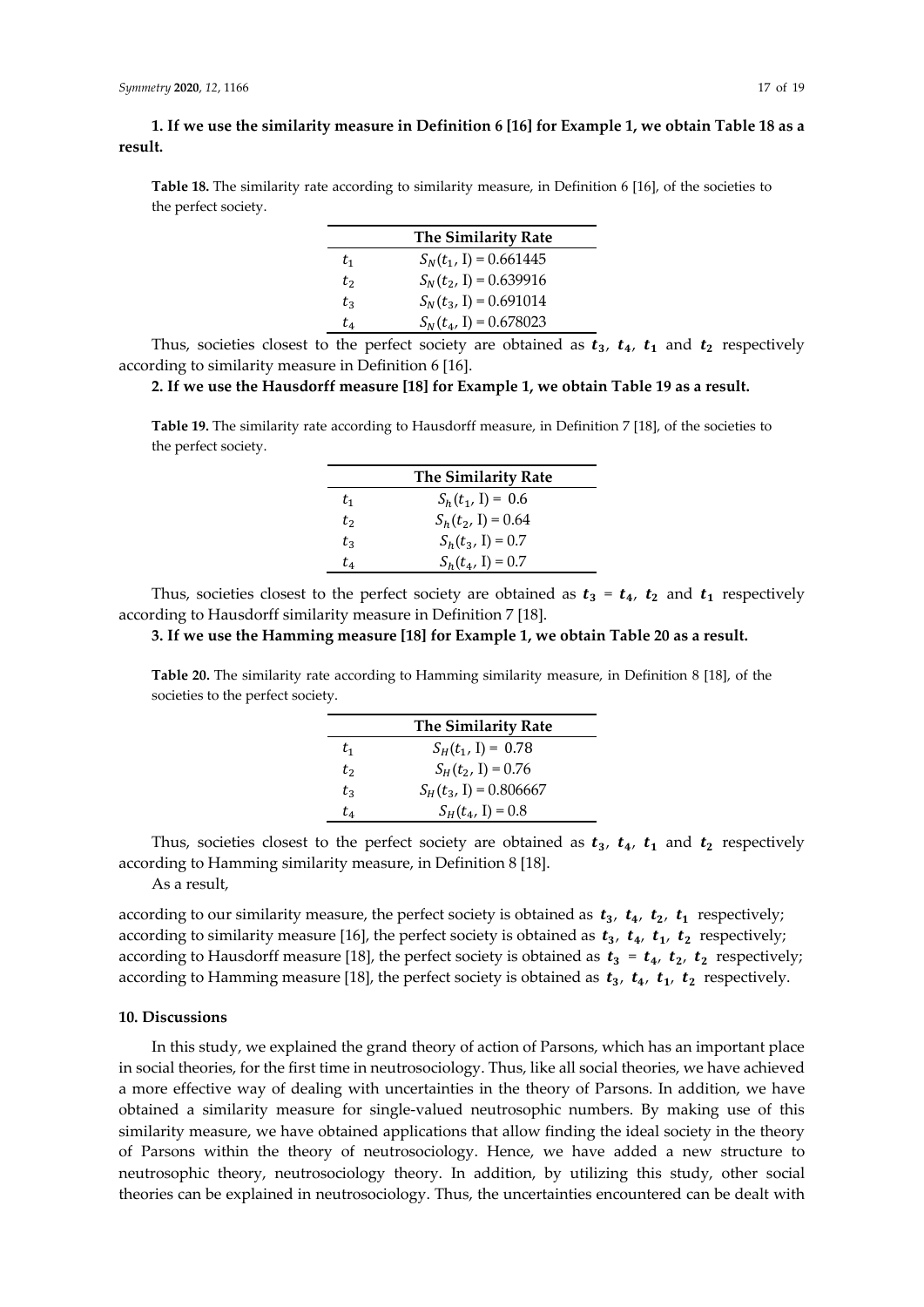**1. If we use the similarity measure in Definition 6 [16] for Example 1, we obtain Table 18 as a result.** 

**Table 18.** The similarity rate according to similarity measure, in Definition 6 [16], of the societies to the perfect society.

|         | <b>The Similarity Rate</b> |
|---------|----------------------------|
| $t_{1}$ | $S_N(t_1, I) = 0.661445$   |
| $t_2$   | $S_N(t_2, I) = 0.639916$   |
| $t_{3}$ | $S_N(t_3, I) = 0.691014$   |
| t,      | $S_N(t_4, I) = 0.678023$   |

Thus, societies closest to the perfect society are obtained as  $t_3$ ,  $t_4$ ,  $t_1$  and  $t_2$  respectively according to similarity measure in Definition 6 [16].

# **2. If we use the Hausdorff measure [18] for Example 1, we obtain Table 19 as a result.**

**Table 19.** The similarity rate according to Hausdorff measure, in Definition 7 [18], of the societies to the perfect society.

|         | The Similarity Rate  |
|---------|----------------------|
| $t_{1}$ | $S_h(t_1, I) = 0.6$  |
| t,      | $S_h(t_2, I) = 0.64$ |
| t2      | $S_h(t_3, I) = 0.7$  |
| t4      | $S_h(t_4, I) = 0.7$  |

Thus, societies closest to the perfect society are obtained as  $t_3 = t_4$ ,  $t_2$  and  $t_1$  respectively according to Hausdorff similarity measure in Definition 7 [18].

# **3. If we use the Hamming measure [18] for Example 1, we obtain Table 20 as a result.**

**Table 20.** The similarity rate according to Hamming similarity measure, in Definition 8 [18], of the societies to the perfect society.

|         | <b>The Similarity Rate</b> |
|---------|----------------------------|
| $t_{1}$ | $S_H(t_1, I) = 0.78$       |
| $t_2$   | $S_H(t_2, I) = 0.76$       |
| $t_{3}$ | $S_H(t_3, I) = 0.806667$   |
| t,      | $S_H(t_4, I) = 0.8$        |

Thus, societies closest to the perfect society are obtained as  $t_3$ ,  $t_4$ ,  $t_1$  and  $t_2$  respectively according to Hamming similarity measure, in Definition 8 [18].

As a result,

according to our similarity measure, the perfect society is obtained as  $t_3$ ,  $t_4$ ,  $t_2$ ,  $t_1$  respectively; according to similarity measure [16], the perfect society is obtained as  $t_3$ ,  $t_4$ ,  $t_1$ ,  $t_2$  respectively; according to Hausdorff measure [18], the perfect society is obtained as  $t_3 = t_4$ ,  $t_2$ ,  $t_2$  respectively; according to Hamming measure [18], the perfect society is obtained as  $t_3$ ,  $t_4$ ,  $t_1$ ,  $t_2$  respectively.

## **10. Discussions**

In this study, we explained the grand theory of action of Parsons, which has an important place in social theories, for the first time in neutrosociology. Thus, like all social theories, we have achieved a more effective way of dealing with uncertainties in the theory of Parsons. In addition, we have obtained a similarity measure for single-valued neutrosophic numbers. By making use of this similarity measure, we have obtained applications that allow finding the ideal society in the theory of Parsons within the theory of neutrosociology. Hence, we have added a new structure to neutrosophic theory, neutrosociology theory. In addition, by utilizing this study, other social theories can be explained in neutrosociology. Thus, the uncertainties encountered can be dealt with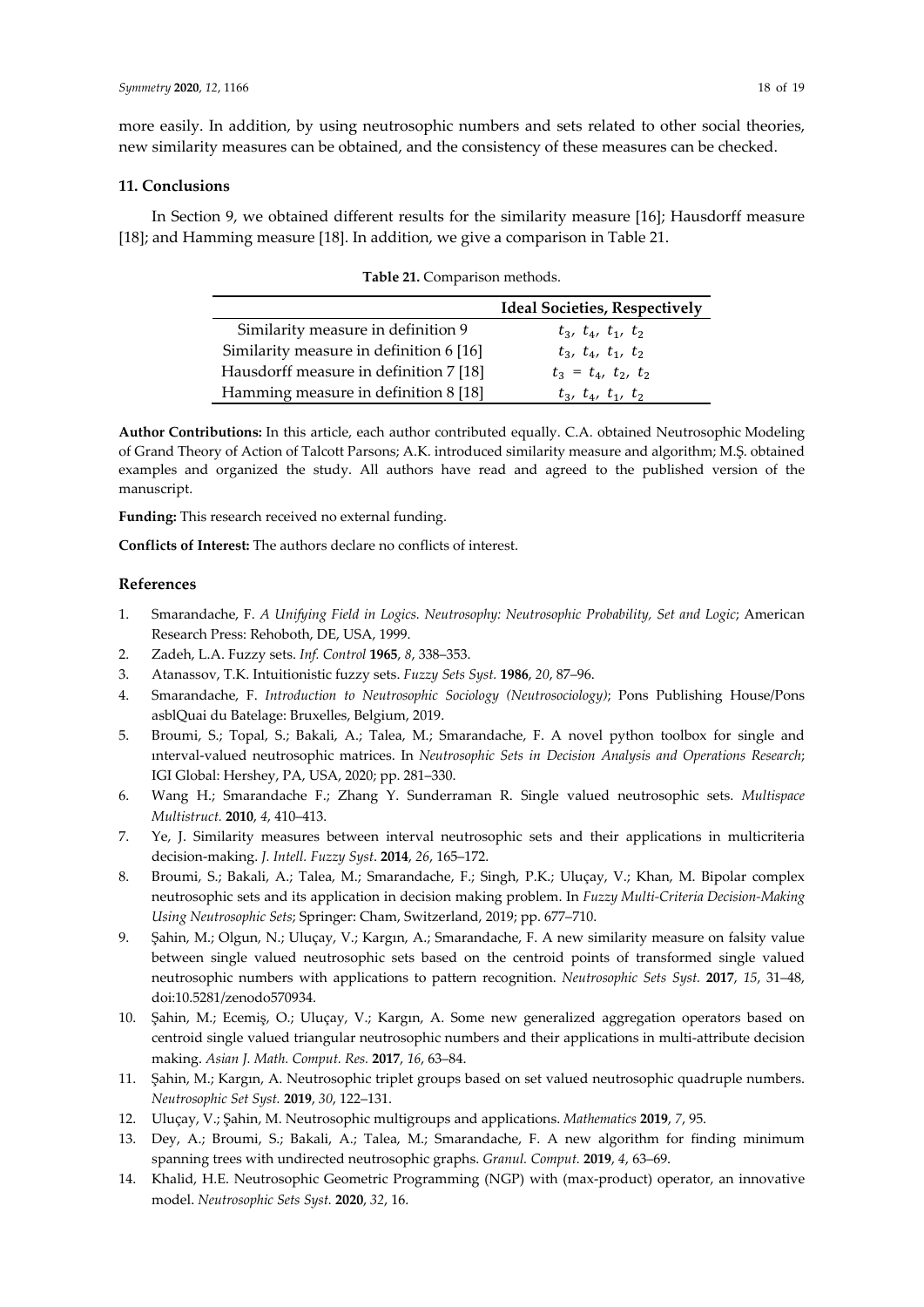more easily. In addition, by using neutrosophic numbers and sets related to other social theories, new similarity measures can be obtained, and the consistency of these measures can be checked.

#### **11. Conclusions**

In Section 9, we obtained different results for the similarity measure [16]; Hausdorff measure [18]; and Hamming measure [18]. In addition, we give a comparison in Table 21.

|                                         | <b>Ideal Societies, Respectively</b> |
|-----------------------------------------|--------------------------------------|
| Similarity measure in definition 9      | $t_3$ , $t_4$ , $t_1$ , $t_2$        |
| Similarity measure in definition 6 [16] | $t_3$ , $t_4$ , $t_1$ , $t_2$        |
| Hausdorff measure in definition 7 [18]  | $t_3 = t_4, t_2, t_2$                |
| Hamming measure in definition 8 [18]    | $t_3$ , $t_4$ , $t_1$ , $t_2$        |

| Table 21. Comparison methods. |  |
|-------------------------------|--|
|-------------------------------|--|

**Author Contributions:** In this article, each author contributed equally. C.A. obtained Neutrosophic Modeling of Grand Theory of Action of Talcott Parsons; A.K. introduced similarity measure and algorithm; M.Ş. obtained examples and organized the study. All authors have read and agreed to the published version of the manuscript.

**Funding:** This research received no external funding.

**Conflicts of Interest:** The authors declare no conflicts of interest.

## **References**

- 1. Smarandache, F. *A Unifying Field in Logics. Neutrosophy: Neutrosophic Probability, Set and Logic*; American Research Press: Rehoboth, DE, USA, 1999.
- 2. Zadeh, L.A. Fuzzy sets. *Inf. Control* **1965**, *8*, 338–353.
- 3. Atanassov, T.K. Intuitionistic fuzzy sets. *Fuzzy Sets Syst.* **1986**, *20*, 87–96.
- 4. Smarandache, F. *Introduction to Neutrosophic Sociology (Neutrosociology)*; Pons Publishing House/Pons asblQuai du Batelage: Bruxelles, Belgium, 2019.
- 5. Broumi, S.; Topal, S.; Bakali, A.; Talea, M.; Smarandache, F. A novel python toolbox for single and ınterval-valued neutrosophic matrices. In *Neutrosophic Sets in Decision Analysis and Operations Research*; IGI Global: Hershey, PA, USA, 2020; pp. 281–330.
- 6. Wang H.; Smarandache F.; Zhang Y. Sunderraman R. Single valued neutrosophic sets. *Multispace Multistruct.* **2010**, *4*, 410–413.
- 7. Ye, J. Similarity measures between interval neutrosophic sets and their applications in multicriteria decision-making. *J. Intell. Fuzzy Syst*. **2014**, *26*, 165–172.
- 8. Broumi, S.; Bakali, A.; Talea, M.; Smarandache, F.; Singh, P.K.; Uluçay, V.; Khan, M. Bipolar complex neutrosophic sets and its application in decision making problem. In *Fuzzy Multi-Criteria Decision-Making Using Neutrosophic Sets*; Springer: Cham, Switzerland, 2019; pp. 677–710.
- 9. Şahin, M.; Olgun, N.; Uluçay, V.; Kargın, A.; Smarandache, F. A new similarity measure on falsity value between single valued neutrosophic sets based on the centroid points of transformed single valued neutrosophic numbers with applications to pattern recognition. *Neutrosophic Sets Syst.* **2017**, *15*, 31–48, doi:10.5281/zenodo570934.
- 10. Şahin, M.; Ecemiş, O.; Uluçay, V.; Kargın, A. Some new generalized aggregation operators based on centroid single valued triangular neutrosophic numbers and their applications in multi-attribute decision making. *Asian J. Math. Comput. Res.* **2017**, *16*, 63–84.
- 11. Şahin, M.; Kargın, A. Neutrosophic triplet groups based on set valued neutrosophic quadruple numbers. *Neutrosophic Set Syst.* **2019**, *30*, 122–131.
- 12. Uluçay, V.; Şahin, M. Neutrosophic multigroups and applications. *Mathematics* **2019**, *7*, 95.
- 13. Dey, A.; Broumi, S.; Bakali, A.; Talea, M.; Smarandache, F. A new algorithm for finding minimum spanning trees with undirected neutrosophic graphs. *Granul. Comput.* **2019**, *4*, 63–69.
- 14. Khalid, H.E. Neutrosophic Geometric Programming (NGP) with (max-product) operator, an innovative model. *Neutrosophic Sets Syst.* **2020**, *32*, 16.